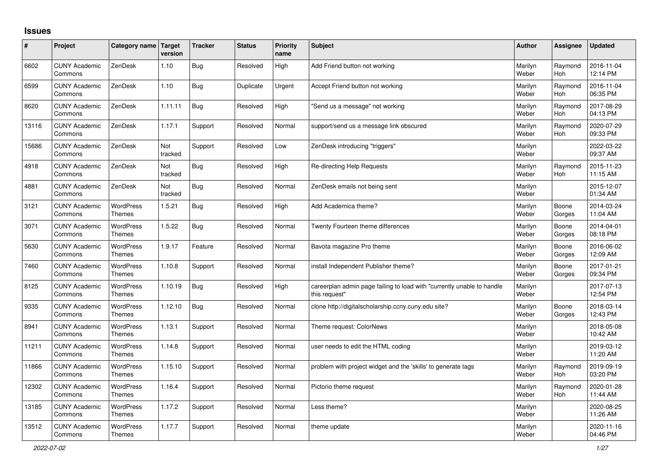## **Issues**

| #     | Project                         | Category name Target              | version        | <b>Tracker</b> | <b>Status</b> | <b>Priority</b><br>name | <b>Subject</b>                                                                          | <b>Author</b>    | Assignee              | <b>Updated</b>         |
|-------|---------------------------------|-----------------------------------|----------------|----------------|---------------|-------------------------|-----------------------------------------------------------------------------------------|------------------|-----------------------|------------------------|
| 6602  | <b>CUNY Academic</b><br>Commons | ZenDesk                           | 1.10           | Bug            | Resolved      | High                    | Add Friend button not working                                                           | Marilyn<br>Weber | Raymond<br>Hoh        | 2016-11-04<br>12:14 PM |
| 6599  | <b>CUNY Academic</b><br>Commons | ZenDesk                           | 1.10           | Bug            | Duplicate     | Urgent                  | Accept Friend button not working                                                        | Marilyn<br>Weber | Raymond<br><b>Hoh</b> | 2016-11-04<br>06:35 PM |
| 8620  | <b>CUNY Academic</b><br>Commons | ZenDesk                           | 1.11.11        | Bug            | Resolved      | High                    | 'Send us a message" not working                                                         | Marilyn<br>Weber | Raymond<br>Hoh        | 2017-08-29<br>04:13 PM |
| 13116 | <b>CUNY Academic</b><br>Commons | ZenDesk                           | 1.17.1         | Support        | Resolved      | Normal                  | support/send us a message link obscured                                                 | Marilyn<br>Weber | Raymond<br>Hoh        | 2020-07-29<br>09:33 PM |
| 15686 | <b>CUNY Academic</b><br>Commons | ZenDesk                           | Not<br>tracked | Support        | Resolved      | Low                     | ZenDesk introducing "triggers"                                                          | Marilyn<br>Weber |                       | 2022-03-22<br>09:37 AM |
| 4918  | <b>CUNY Academic</b><br>Commons | ZenDesk                           | Not<br>tracked | Bug            | Resolved      | High                    | Re-directing Help Requests                                                              | Marilyn<br>Weber | Raymond<br>Hoh        | 2015-11-23<br>11:15 AM |
| 4881  | <b>CUNY Academic</b><br>Commons | ZenDesk                           | Not<br>tracked | Bug            | Resolved      | Normal                  | ZenDesk emails not being sent                                                           | Marilyn<br>Weber |                       | 2015-12-07<br>01:34 AM |
| 3121  | <b>CUNY Academic</b><br>Commons | <b>WordPress</b><br><b>Themes</b> | 1.5.21         | Bug            | Resolved      | High                    | Add Academica theme?                                                                    | Marilyn<br>Weber | Boone<br>Gorges       | 2014-03-24<br>11:04 AM |
| 3071  | <b>CUNY Academic</b><br>Commons | <b>WordPress</b><br><b>Themes</b> | 1.5.22         | Bug            | Resolved      | Normal                  | Twenty Fourteen theme differences                                                       | Marilyn<br>Weber | Boone<br>Gorges       | 2014-04-01<br>08:18 PM |
| 5630  | <b>CUNY Academic</b><br>Commons | WordPress<br>Themes               | 1.9.17         | Feature        | Resolved      | Normal                  | Bavota magazine Pro theme                                                               | Marilyn<br>Weber | Boone<br>Gorges       | 2016-06-02<br>12:09 AM |
| 7460  | <b>CUNY Academic</b><br>Commons | <b>WordPress</b><br><b>Themes</b> | 1.10.8         | Support        | Resolved      | Normal                  | install Independent Publisher theme?                                                    | Marilyn<br>Weber | Boone<br>Gorges       | 2017-01-21<br>09:34 PM |
| 8125  | <b>CUNY Academic</b><br>Commons | <b>WordPress</b><br><b>Themes</b> | 1.10.19        | Bug            | Resolved      | High                    | careerplan admin page failing to load with "currently unable to handle<br>this request" | Marilyn<br>Weber |                       | 2017-07-13<br>12:54 PM |
| 9335  | <b>CUNY Academic</b><br>Commons | <b>WordPress</b><br><b>Themes</b> | 1.12.10        | Bug            | Resolved      | Normal                  | clone http://digitalscholarship.ccny.cuny.edu site?                                     | Marilyn<br>Weber | Boone<br>Gorges       | 2018-03-14<br>12:43 PM |
| 8941  | <b>CUNY Academic</b><br>Commons | <b>WordPress</b><br>Themes        | 1.13.1         | Support        | Resolved      | Normal                  | Theme request: ColorNews                                                                | Marilyn<br>Weber |                       | 2018-05-08<br>10:42 AM |
| 11211 | <b>CUNY Academic</b><br>Commons | WordPress<br><b>Themes</b>        | 1.14.8         | Support        | Resolved      | Normal                  | user needs to edit the HTML coding                                                      | Marilyn<br>Weber |                       | 2019-03-12<br>11:20 AM |
| 11866 | <b>CUNY Academic</b><br>Commons | <b>WordPress</b><br><b>Themes</b> | 1.15.10        | Support        | Resolved      | Normal                  | problem with project widget and the 'skills' to generate tags                           | Marilyn<br>Weber | Raymond<br><b>Hoh</b> | 2019-09-19<br>03:20 PM |
| 12302 | <b>CUNY Academic</b><br>Commons | <b>WordPress</b><br><b>Themes</b> | 1.16.4         | Support        | Resolved      | Normal                  | Pictorio theme request                                                                  | Marilyn<br>Weber | Raymond<br><b>Hoh</b> | 2020-01-28<br>11:44 AM |
| 13185 | <b>CUNY Academic</b><br>Commons | WordPress<br>Themes               | 1.17.2         | Support        | Resolved      | Normal                  | Less theme?                                                                             | Marilyn<br>Weber |                       | 2020-08-25<br>11:26 AM |
| 13512 | <b>CUNY Academic</b><br>Commons | <b>WordPress</b><br>Themes        | 1.17.7         | Support        | Resolved      | Normal                  | theme update                                                                            | Marilyn<br>Weber |                       | 2020-11-16<br>04:46 PM |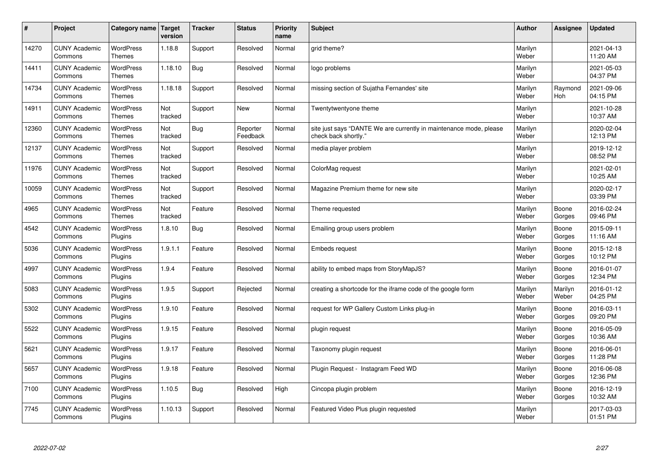| $\sharp$ | Project                         | Category name   Target            | version        | <b>Tracker</b> | <b>Status</b>        | <b>Priority</b><br>name | <b>Subject</b>                                                                             | <b>Author</b>    | Assignee              | <b>Updated</b>         |
|----------|---------------------------------|-----------------------------------|----------------|----------------|----------------------|-------------------------|--------------------------------------------------------------------------------------------|------------------|-----------------------|------------------------|
| 14270    | <b>CUNY Academic</b><br>Commons | <b>WordPress</b><br><b>Themes</b> | 1.18.8         | Support        | Resolved             | Normal                  | arid theme?                                                                                | Marilyn<br>Weber |                       | 2021-04-13<br>11:20 AM |
| 14411    | <b>CUNY Academic</b><br>Commons | <b>WordPress</b><br>Themes        | 1.18.10        | Bug            | Resolved             | Normal                  | logo problems                                                                              | Marilyn<br>Weber |                       | 2021-05-03<br>04:37 PM |
| 14734    | <b>CUNY Academic</b><br>Commons | <b>WordPress</b><br><b>Themes</b> | 1.18.18        | Support        | Resolved             | Normal                  | missing section of Sujatha Fernandes' site                                                 | Marilyn<br>Weber | Raymond<br><b>Hoh</b> | 2021-09-06<br>04:15 PM |
| 14911    | <b>CUNY Academic</b><br>Commons | <b>WordPress</b><br><b>Themes</b> | Not<br>tracked | Support        | <b>New</b>           | Normal                  | Twentytwentyone theme                                                                      | Marilyn<br>Weber |                       | 2021-10-28<br>10:37 AM |
| 12360    | <b>CUNY Academic</b><br>Commons | <b>WordPress</b><br><b>Themes</b> | Not<br>tracked | Bug            | Reporter<br>Feedback | Normal                  | site just says "DANTE We are currently in maintenance mode, please<br>check back shortly." | Marilyn<br>Weber |                       | 2020-02-04<br>12:13 PM |
| 12137    | <b>CUNY Academic</b><br>Commons | WordPress<br><b>Themes</b>        | Not<br>tracked | Support        | Resolved             | Normal                  | media player problem                                                                       | Marilyn<br>Weber |                       | 2019-12-12<br>08:52 PM |
| 11976    | <b>CUNY Academic</b><br>Commons | <b>WordPress</b><br><b>Themes</b> | Not<br>tracked | Support        | Resolved             | Normal                  | ColorMag request                                                                           | Marilyn<br>Weber |                       | 2021-02-01<br>10:25 AM |
| 10059    | <b>CUNY Academic</b><br>Commons | <b>WordPress</b><br><b>Themes</b> | Not<br>tracked | Support        | Resolved             | Normal                  | Magazine Premium theme for new site                                                        | Marilyn<br>Weber |                       | 2020-02-17<br>03:39 PM |
| 4965     | <b>CUNY Academic</b><br>Commons | <b>WordPress</b><br><b>Themes</b> | Not<br>tracked | Feature        | Resolved             | Normal                  | Theme requested                                                                            | Marilyn<br>Weber | Boone<br>Gorges       | 2016-02-24<br>09:46 PM |
| 4542     | <b>CUNY Academic</b><br>Commons | WordPress<br>Plugins              | 1.8.10         | Bug            | Resolved             | Normal                  | Emailing group users problem                                                               | Marilyn<br>Weber | Boone<br>Gorges       | 2015-09-11<br>11:16 AM |
| 5036     | <b>CUNY Academic</b><br>Commons | WordPress<br>Plugins              | 1.9.1.1        | Feature        | Resolved             | Normal                  | Embeds request                                                                             | Marilyn<br>Weber | Boone<br>Gorges       | 2015-12-18<br>10:12 PM |
| 4997     | <b>CUNY Academic</b><br>Commons | <b>WordPress</b><br>Plugins       | 1.9.4          | Feature        | Resolved             | Normal                  | ability to embed maps from StoryMapJS?                                                     | Marilyn<br>Weber | Boone<br>Gorges       | 2016-01-07<br>12:34 PM |
| 5083     | <b>CUNY Academic</b><br>Commons | <b>WordPress</b><br>Plugins       | 1.9.5          | Support        | Rejected             | Normal                  | creating a shortcode for the iframe code of the google form                                | Marilyn<br>Weber | Marilyn<br>Weber      | 2016-01-12<br>04:25 PM |
| 5302     | <b>CUNY Academic</b><br>Commons | <b>WordPress</b><br>Plugins       | 1.9.10         | Feature        | Resolved             | Normal                  | request for WP Gallery Custom Links plug-in                                                | Marilyn<br>Weber | Boone<br>Gorges       | 2016-03-11<br>09:20 PM |
| 5522     | <b>CUNY Academic</b><br>Commons | <b>WordPress</b><br>Plugins       | 1.9.15         | Feature        | Resolved             | Normal                  | plugin request                                                                             | Marilyn<br>Weber | Boone<br>Gorges       | 2016-05-09<br>10:36 AM |
| 5621     | <b>CUNY Academic</b><br>Commons | <b>WordPress</b><br>Plugins       | 1.9.17         | Feature        | Resolved             | Normal                  | Taxonomy plugin request                                                                    | Marilyn<br>Weber | Boone<br>Gorges       | 2016-06-01<br>11:28 PM |
| 5657     | <b>CUNY Academic</b><br>Commons | WordPress<br>Plugins              | 1.9.18         | Feature        | Resolved             | Normal                  | Plugin Request - Instagram Feed WD                                                         | Marilyn<br>Weber | Boone<br>Gorges       | 2016-06-08<br>12:36 PM |
| 7100     | <b>CUNY Academic</b><br>Commons | WordPress<br>Plugins              | 1.10.5         | Bug            | Resolved             | High                    | Cincopa plugin problem                                                                     | Marilyn<br>Weber | Boone<br>Gorges       | 2016-12-19<br>10:32 AM |
| 7745     | <b>CUNY Academic</b><br>Commons | WordPress<br>Plugins              | 1.10.13        | Support        | Resolved             | Normal                  | Featured Video Plus plugin requested                                                       | Marilyn<br>Weber |                       | 2017-03-03<br>01:51 PM |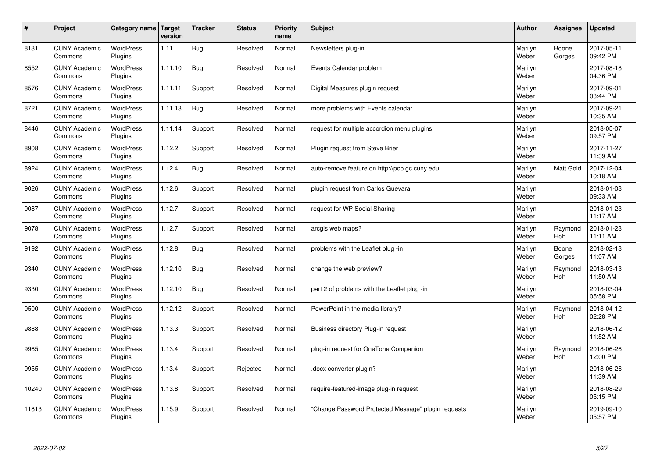| $\sharp$ | Project                         | Category name Target        | version | <b>Tracker</b> | <b>Status</b> | <b>Priority</b><br>name | <b>Subject</b>                                      | <b>Author</b>    | Assignee              | <b>Updated</b>         |
|----------|---------------------------------|-----------------------------|---------|----------------|---------------|-------------------------|-----------------------------------------------------|------------------|-----------------------|------------------------|
| 8131     | <b>CUNY Academic</b><br>Commons | <b>WordPress</b><br>Plugins | 1.11    | Bug            | Resolved      | Normal                  | Newsletters plug-in                                 | Marilyn<br>Weber | Boone<br>Gorges       | 2017-05-11<br>09:42 PM |
| 8552     | <b>CUNY Academic</b><br>Commons | <b>WordPress</b><br>Plugins | 1.11.10 | Bug            | Resolved      | Normal                  | Events Calendar problem                             | Marilyn<br>Weber |                       | 2017-08-18<br>04:36 PM |
| 8576     | <b>CUNY Academic</b><br>Commons | <b>WordPress</b><br>Plugins | 1.11.11 | Support        | Resolved      | Normal                  | Digital Measures plugin request                     | Marilyn<br>Weber |                       | 2017-09-01<br>03:44 PM |
| 8721     | <b>CUNY Academic</b><br>Commons | <b>WordPress</b><br>Plugins | 1.11.13 | Bug            | Resolved      | Normal                  | more problems with Events calendar                  | Marilyn<br>Weber |                       | 2017-09-21<br>10:35 AM |
| 8446     | <b>CUNY Academic</b><br>Commons | <b>WordPress</b><br>Plugins | 1.11.14 | Support        | Resolved      | Normal                  | request for multiple accordion menu plugins         | Marilyn<br>Weber |                       | 2018-05-07<br>09:57 PM |
| 8908     | <b>CUNY Academic</b><br>Commons | WordPress<br>Plugins        | 1.12.2  | Support        | Resolved      | Normal                  | Plugin request from Steve Brier                     | Marilyn<br>Weber |                       | 2017-11-27<br>11:39 AM |
| 8924     | <b>CUNY Academic</b><br>Commons | <b>WordPress</b><br>Plugins | 1.12.4  | <b>Bug</b>     | Resolved      | Normal                  | auto-remove feature on http://pcp.gc.cuny.edu       | Marilyn<br>Weber | Matt Gold             | 2017-12-04<br>10:18 AM |
| 9026     | <b>CUNY Academic</b><br>Commons | WordPress<br>Plugins        | 1.12.6  | Support        | Resolved      | Normal                  | plugin request from Carlos Guevara                  | Marilyn<br>Weber |                       | 2018-01-03<br>09:33 AM |
| 9087     | <b>CUNY Academic</b><br>Commons | <b>WordPress</b><br>Plugins | 1.12.7  | Support        | Resolved      | Normal                  | request for WP Social Sharing                       | Marilyn<br>Weber |                       | 2018-01-23<br>11:17 AM |
| 9078     | <b>CUNY Academic</b><br>Commons | WordPress<br>Plugins        | 1.12.7  | Support        | Resolved      | Normal                  | arcgis web maps?                                    | Marilyn<br>Weber | Raymond<br>Hoh        | 2018-01-23<br>11:11 AM |
| 9192     | <b>CUNY Academic</b><br>Commons | WordPress<br>Plugins        | 1.12.8  | Bug            | Resolved      | Normal                  | problems with the Leaflet plug -in                  | Marilyn<br>Weber | Boone<br>Gorges       | 2018-02-13<br>11:07 AM |
| 9340     | <b>CUNY Academic</b><br>Commons | <b>WordPress</b><br>Plugins | 1.12.10 | <b>Bug</b>     | Resolved      | Normal                  | change the web preview?                             | Marilyn<br>Weber | Raymond<br>Hoh        | 2018-03-13<br>11:50 AM |
| 9330     | <b>CUNY Academic</b><br>Commons | WordPress<br>Plugins        | 1.12.10 | Bug            | Resolved      | Normal                  | part 2 of problems with the Leaflet plug -in        | Marilyn<br>Weber |                       | 2018-03-04<br>05:58 PM |
| 9500     | <b>CUNY Academic</b><br>Commons | <b>WordPress</b><br>Plugins | 1.12.12 | Support        | Resolved      | Normal                  | PowerPoint in the media library?                    | Marilyn<br>Weber | Raymond<br><b>Hoh</b> | 2018-04-12<br>02:28 PM |
| 9888     | <b>CUNY Academic</b><br>Commons | <b>WordPress</b><br>Plugins | 1.13.3  | Support        | Resolved      | Normal                  | Business directory Plug-in request                  | Marilyn<br>Weber |                       | 2018-06-12<br>11:52 AM |
| 9965     | <b>CUNY Academic</b><br>Commons | <b>WordPress</b><br>Plugins | 1.13.4  | Support        | Resolved      | Normal                  | plug-in request for OneTone Companion               | Marilyn<br>Weber | Raymond<br><b>Hoh</b> | 2018-06-26<br>12:00 PM |
| 9955     | <b>CUNY Academic</b><br>Commons | WordPress<br>Plugins        | 1.13.4  | Support        | Rejected      | Normal                  | docx converter plugin?                              | Marilyn<br>Weber |                       | 2018-06-26<br>11:39 AM |
| 10240    | <b>CUNY Academic</b><br>Commons | WordPress<br>Plugins        | 1.13.8  | Support        | Resolved      | Normal                  | require-featured-image plug-in request              | Marilyn<br>Weber |                       | 2018-08-29<br>05:15 PM |
| 11813    | <b>CUNY Academic</b><br>Commons | WordPress<br>Plugins        | 1.15.9  | Support        | Resolved      | Normal                  | 'Change Password Protected Message" plugin requests | Marilyn<br>Weber |                       | 2019-09-10<br>05:57 PM |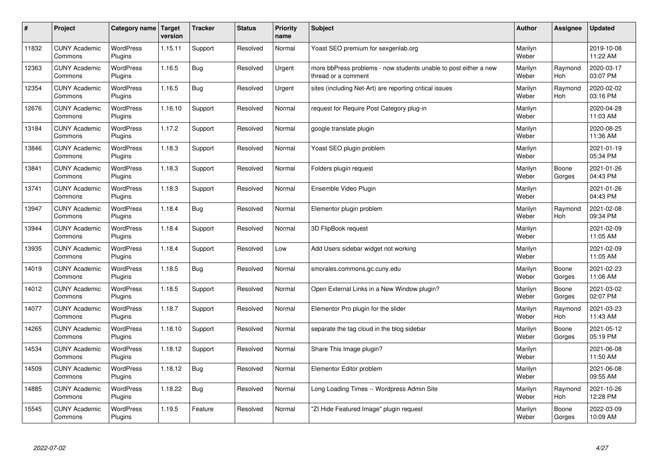| $\sharp$ | Project                         | Category name   Target      | version | <b>Tracker</b> | <b>Status</b> | <b>Priority</b><br>name | <b>Subject</b>                                                                          | <b>Author</b>    | Assignee              | <b>Updated</b>         |
|----------|---------------------------------|-----------------------------|---------|----------------|---------------|-------------------------|-----------------------------------------------------------------------------------------|------------------|-----------------------|------------------------|
| 11832    | <b>CUNY Academic</b><br>Commons | <b>WordPress</b><br>Plugins | 1.15.11 | Support        | Resolved      | Normal                  | Yoast SEO premium for sexgenlab.org                                                     | Marilyn<br>Weber |                       | 2019-10-08<br>11:22 AM |
| 12363    | <b>CUNY Academic</b><br>Commons | <b>WordPress</b><br>Plugins | 1.16.5  | Bug            | Resolved      | Urgent                  | more bbPress problems - now students unable to post either a new<br>thread or a comment | Marilyn<br>Weber | Raymond<br>Hoh        | 2020-03-17<br>03:07 PM |
| 12354    | <b>CUNY Academic</b><br>Commons | <b>WordPress</b><br>Plugins | 1.16.5  | Bug            | Resolved      | Urgent                  | sites (including Net-Art) are reporting critical issues                                 | Marilyn<br>Weber | Raymond<br><b>Hoh</b> | 2020-02-02<br>03:16 PM |
| 12676    | <b>CUNY Academic</b><br>Commons | <b>WordPress</b><br>Plugins | 1.16.10 | Support        | Resolved      | Normal                  | request for Require Post Category plug-in                                               | Marilyn<br>Weber |                       | 2020-04-28<br>11:03 AM |
| 13184    | <b>CUNY Academic</b><br>Commons | <b>WordPress</b><br>Plugins | 1.17.2  | Support        | Resolved      | Normal                  | google translate plugin                                                                 | Marilyn<br>Weber |                       | 2020-08-25<br>11:36 AM |
| 13846    | <b>CUNY Academic</b><br>Commons | WordPress<br>Plugins        | 1.18.3  | Support        | Resolved      | Normal                  | Yoast SEO plugin problem                                                                | Marilyn<br>Weber |                       | 2021-01-19<br>05:34 PM |
| 13841    | <b>CUNY Academic</b><br>Commons | WordPress<br>Plugins        | 1.18.3  | Support        | Resolved      | Normal                  | Folders plugin request                                                                  | Marilyn<br>Weber | Boone<br>Gorges       | 2021-01-26<br>04:43 PM |
| 13741    | <b>CUNY Academic</b><br>Commons | WordPress<br>Plugins        | 1.18.3  | Support        | Resolved      | Normal                  | Ensemble Video Plugin                                                                   | Marilyn<br>Weber |                       | 2021-01-26<br>04:43 PM |
| 13947    | <b>CUNY Academic</b><br>Commons | <b>WordPress</b><br>Plugins | 1.18.4  | Bug            | Resolved      | Normal                  | Elementor plugin problem                                                                | Marilyn<br>Weber | Raymond<br><b>Hoh</b> | 2021-02-08<br>09:34 PM |
| 13944    | <b>CUNY Academic</b><br>Commons | WordPress<br>Plugins        | 1.18.4  | Support        | Resolved      | Normal                  | 3D FlipBook request                                                                     | Marilyn<br>Weber |                       | 2021-02-09<br>11:05 AM |
| 13935    | <b>CUNY Academic</b><br>Commons | WordPress<br>Plugins        | 1.18.4  | Support        | Resolved      | Low                     | Add Users sidebar widget not working                                                    | Marilyn<br>Weber |                       | 2021-02-09<br>11:05 AM |
| 14019    | <b>CUNY Academic</b><br>Commons | <b>WordPress</b><br>Plugins | 1.18.5  | Bug            | Resolved      | Normal                  | smorales.commons.gc.cuny.edu                                                            | Marilyn<br>Weber | Boone<br>Gorges       | 2021-02-23<br>11:06 AM |
| 14012    | <b>CUNY Academic</b><br>Commons | <b>WordPress</b><br>Plugins | 1.18.5  | Support        | Resolved      | Normal                  | Open External Links in a New Window plugin?                                             | Marilyn<br>Weber | Boone<br>Gorges       | 2021-03-02<br>02:07 PM |
| 14077    | <b>CUNY Academic</b><br>Commons | WordPress<br>Plugins        | 1.18.7  | Support        | Resolved      | Normal                  | Elementor Pro plugin for the slider                                                     | Marilyn<br>Weber | Raymond<br><b>Hoh</b> | 2021-03-23<br>11:43 AM |
| 14265    | <b>CUNY Academic</b><br>Commons | <b>WordPress</b><br>Plugins | 1.18.10 | Support        | Resolved      | Normal                  | separate the tag cloud in the blog sidebar                                              | Marilyn<br>Weber | Boone<br>Gorges       | 2021-05-12<br>05:19 PM |
| 14534    | <b>CUNY Academic</b><br>Commons | <b>WordPress</b><br>Plugins | 1.18.12 | Support        | Resolved      | Normal                  | Share This Image plugin?                                                                | Marilyn<br>Weber |                       | 2021-06-08<br>11:50 AM |
| 14509    | <b>CUNY Academic</b><br>Commons | WordPress<br>Plugins        | 1.18.12 | Bug            | Resolved      | Normal                  | Elementor Editor problem                                                                | Marilyn<br>Weber |                       | 2021-06-08<br>09:55 AM |
| 14885    | <b>CUNY Academic</b><br>Commons | WordPress<br>Plugins        | 1.18.22 | Bug            | Resolved      | Normal                  | Long Loading Times -- Wordpress Admin Site                                              | Marilyn<br>Weber | Raymond<br>Hoh        | 2021-10-26<br>12:28 PM |
| 15545    | <b>CUNY Academic</b><br>Commons | WordPress<br>Plugins        | 1.19.5  | Feature        | Resolved      | Normal                  | 'ZI Hide Featured Image" plugin request                                                 | Marilyn<br>Weber | Boone<br>Gorges       | 2022-03-09<br>10:09 AM |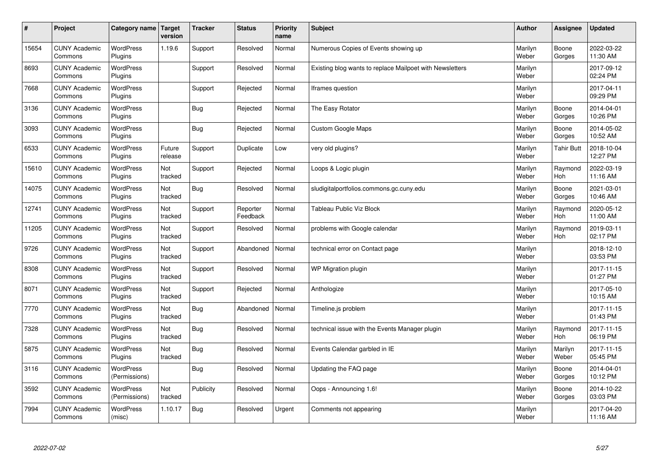| $\sharp$ | Project                         | Category name                     | <b>Target</b><br>version | <b>Tracker</b> | <b>Status</b>        | <b>Priority</b><br>name | <b>Subject</b>                                           | <b>Author</b>    | Assignee          | Updated                |
|----------|---------------------------------|-----------------------------------|--------------------------|----------------|----------------------|-------------------------|----------------------------------------------------------|------------------|-------------------|------------------------|
| 15654    | <b>CUNY Academic</b><br>Commons | <b>WordPress</b><br>Plugins       | 1.19.6                   | Support        | Resolved             | Normal                  | Numerous Copies of Events showing up                     | Marilyn<br>Weber | Boone<br>Gorges   | 2022-03-22<br>11:30 AM |
| 8693     | <b>CUNY Academic</b><br>Commons | <b>WordPress</b><br>Plugins       |                          | Support        | Resolved             | Normal                  | Existing blog wants to replace Mailpoet with Newsletters | Marilyn<br>Weber |                   | 2017-09-12<br>02:24 PM |
| 7668     | <b>CUNY Academic</b><br>Commons | <b>WordPress</b><br>Plugins       |                          | Support        | Rejected             | Normal                  | Iframes question                                         | Marilyn<br>Weber |                   | 2017-04-11<br>09:29 PM |
| 3136     | <b>CUNY Academic</b><br>Commons | <b>WordPress</b><br>Plugins       |                          | Bug            | Rejected             | Normal                  | The Easy Rotator                                         | Marilyn<br>Weber | Boone<br>Gorges   | 2014-04-01<br>10:26 PM |
| 3093     | <b>CUNY Academic</b><br>Commons | <b>WordPress</b><br>Plugins       |                          | <b>Bug</b>     | Rejected             | Normal                  | Custom Google Maps                                       | Marilyn<br>Weber | Boone<br>Gorges   | 2014-05-02<br>10:52 AM |
| 6533     | <b>CUNY Academic</b><br>Commons | <b>WordPress</b><br>Plugins       | Future<br>release        | Support        | Duplicate            | Low                     | very old plugins?                                        | Marilyn<br>Weber | <b>Tahir Butt</b> | 2018-10-04<br>12:27 PM |
| 15610    | <b>CUNY Academic</b><br>Commons | <b>WordPress</b><br>Plugins       | Not<br>tracked           | Support        | Rejected             | Normal                  | Loops & Logic plugin                                     | Marilyn<br>Weber | Raymond<br>Hoh    | 2022-03-19<br>11:16 AM |
| 14075    | <b>CUNY Academic</b><br>Commons | WordPress<br>Plugins              | Not<br>tracked           | Bug            | Resolved             | Normal                  | sludigitalportfolios.commons.gc.cuny.edu                 | Marilyn<br>Weber | Boone<br>Gorges   | 2021-03-01<br>10:46 AM |
| 12741    | <b>CUNY Academic</b><br>Commons | WordPress<br>Plugins              | Not<br>tracked           | Support        | Reporter<br>Feedback | Normal                  | Tableau Public Viz Block                                 | Marilyn<br>Weber | Raymond<br>Hoh    | 2020-05-12<br>11:00 AM |
| 11205    | <b>CUNY Academic</b><br>Commons | WordPress<br>Plugins              | Not<br>tracked           | Support        | Resolved             | Normal                  | problems with Google calendar                            | Marilyn<br>Weber | Raymond<br>Hoh    | 2019-03-11<br>02:17 PM |
| 9726     | <b>CUNY Academic</b><br>Commons | <b>WordPress</b><br>Plugins       | Not<br>tracked           | Support        | Abandoned            | Normal                  | technical error on Contact page                          | Marilyn<br>Weber |                   | 2018-12-10<br>03:53 PM |
| 8308     | <b>CUNY Academic</b><br>Commons | <b>WordPress</b><br>Plugins       | Not<br>tracked           | Support        | Resolved             | Normal                  | WP Migration plugin                                      | Marilyn<br>Weber |                   | 2017-11-15<br>01:27 PM |
| 8071     | <b>CUNY Academic</b><br>Commons | <b>WordPress</b><br>Plugins       | Not<br>tracked           | Support        | Rejected             | Normal                  | Anthologize                                              | Marilyn<br>Weber |                   | 2017-05-10<br>10:15 AM |
| 7770     | <b>CUNY Academic</b><br>Commons | <b>WordPress</b><br>Plugins       | Not<br>tracked           | Bug            | Abandoned            | Normal                  | Timeline.js problem                                      | Marilyn<br>Weber |                   | 2017-11-15<br>01:43 PM |
| 7328     | <b>CUNY Academic</b><br>Commons | <b>WordPress</b><br>Plugins       | Not<br>tracked           | Bug            | Resolved             | Normal                  | technical issue with the Events Manager plugin           | Marilyn<br>Weber | Raymond<br>Hoh    | 2017-11-15<br>06:19 PM |
| 5875     | <b>CUNY Academic</b><br>Commons | WordPress<br>Plugins              | Not<br>tracked           | Bug            | Resolved             | Normal                  | Events Calendar garbled in IE                            | Marilyn<br>Weber | Marilyn<br>Weber  | 2017-11-15<br>05:45 PM |
| 3116     | <b>CUNY Academic</b><br>Commons | <b>WordPress</b><br>(Permissions) |                          | <b>Bug</b>     | Resolved             | Normal                  | Updating the FAQ page                                    | Marilyn<br>Weber | Boone<br>Gorges   | 2014-04-01<br>10:12 PM |
| 3592     | <b>CUNY Academic</b><br>Commons | <b>WordPress</b><br>(Permissions) | Not<br>tracked           | Publicity      | Resolved             | Normal                  | Oops - Announcing 1.6!                                   | Marilyn<br>Weber | Boone<br>Gorges   | 2014-10-22<br>03:03 PM |
| 7994     | <b>CUNY Academic</b><br>Commons | <b>WordPress</b><br>(misc)        | 1.10.17                  | Bug            | Resolved             | Urgent                  | Comments not appearing                                   | Marilyn<br>Weber |                   | 2017-04-20<br>11:16 AM |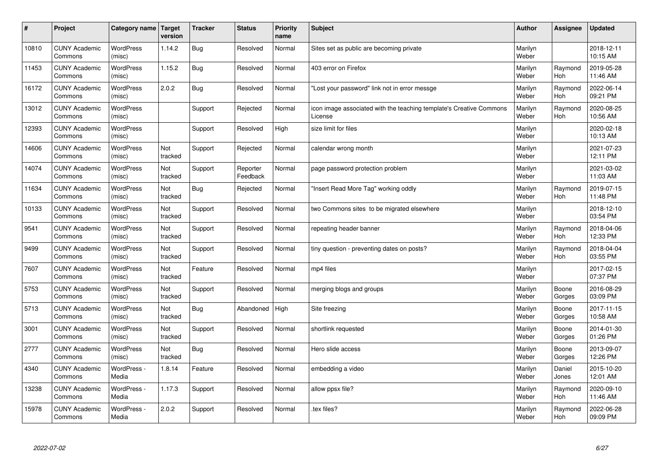| $\pmb{\#}$ | Project                         | Category name              | Target<br>version | <b>Tracker</b> | <b>Status</b>        | <b>Priority</b><br>name | <b>Subject</b>                                                                 | <b>Author</b>    | Assignee              | <b>Updated</b>         |
|------------|---------------------------------|----------------------------|-------------------|----------------|----------------------|-------------------------|--------------------------------------------------------------------------------|------------------|-----------------------|------------------------|
| 10810      | <b>CUNY Academic</b><br>Commons | <b>WordPress</b><br>(misc) | 1.14.2            | Bug            | Resolved             | Normal                  | Sites set as public are becoming private                                       | Marilyn<br>Weber |                       | 2018-12-11<br>10:15 AM |
| 11453      | <b>CUNY Academic</b><br>Commons | <b>WordPress</b><br>(misc) | 1.15.2            | <b>Bug</b>     | Resolved             | Normal                  | 403 error on Firefox                                                           | Marilyn<br>Weber | Raymond<br>Hoh        | 2019-05-28<br>11:46 AM |
| 16172      | <b>CUNY Academic</b><br>Commons | <b>WordPress</b><br>(misc) | 2.0.2             | <b>Bug</b>     | Resolved             | Normal                  | 'Lost your password" link not in error messge                                  | Marilyn<br>Weber | Raymond<br><b>Hoh</b> | 2022-06-14<br>09:21 PM |
| 13012      | <b>CUNY Academic</b><br>Commons | <b>WordPress</b><br>(misc) |                   | Support        | Rejected             | Normal                  | icon image associated with the teaching template's Creative Commons<br>License | Marilyn<br>Weber | Raymond<br><b>Hoh</b> | 2020-08-25<br>10:56 AM |
| 12393      | <b>CUNY Academic</b><br>Commons | <b>WordPress</b><br>(misc) |                   | Support        | Resolved             | High                    | size limit for files                                                           | Marilyn<br>Weber |                       | 2020-02-18<br>10:13 AM |
| 14606      | <b>CUNY Academic</b><br>Commons | WordPress<br>(misc)        | Not<br>tracked    | Support        | Rejected             | Normal                  | calendar wrong month                                                           | Marilyn<br>Weber |                       | 2021-07-23<br>12:11 PM |
| 14074      | <b>CUNY Academic</b><br>Commons | <b>WordPress</b><br>(misc) | Not<br>tracked    | Support        | Reporter<br>Feedback | Normal                  | page password protection problem                                               | Marilyn<br>Weber |                       | 2021-03-02<br>11:03 AM |
| 11634      | <b>CUNY Academic</b><br>Commons | <b>WordPress</b><br>(misc) | Not<br>tracked    | <b>Bug</b>     | Rejected             | Normal                  | 'Insert Read More Tag" working oddly                                           | Marilyn<br>Weber | Raymond<br>Hoh        | 2019-07-15<br>11:48 PM |
| 10133      | <b>CUNY Academic</b><br>Commons | <b>WordPress</b><br>(misc) | Not<br>tracked    | Support        | Resolved             | Normal                  | two Commons sites to be migrated elsewhere                                     | Marilyn<br>Weber |                       | 2018-12-10<br>03:54 PM |
| 9541       | <b>CUNY Academic</b><br>Commons | WordPress<br>(misc)        | Not<br>tracked    | Support        | Resolved             | Normal                  | repeating header banner                                                        | Marilyn<br>Weber | Raymond<br>Hoh        | 2018-04-06<br>12:33 PM |
| 9499       | <b>CUNY Academic</b><br>Commons | WordPress<br>(misc)        | Not<br>tracked    | Support        | Resolved             | Normal                  | tiny question - preventing dates on posts?                                     | Marilyn<br>Weber | Raymond<br>Hoh        | 2018-04-04<br>03:55 PM |
| 7607       | <b>CUNY Academic</b><br>Commons | <b>WordPress</b><br>(misc) | Not<br>tracked    | Feature        | Resolved             | Normal                  | mp4 files                                                                      | Marilyn<br>Weber |                       | 2017-02-15<br>07:37 PM |
| 5753       | <b>CUNY Academic</b><br>Commons | WordPress<br>(misc)        | Not<br>tracked    | Support        | Resolved             | Normal                  | merging blogs and groups                                                       | Marilyn<br>Weber | Boone<br>Gorges       | 2016-08-29<br>03:09 PM |
| 5713       | <b>CUNY Academic</b><br>Commons | WordPress<br>(misc)        | Not<br>tracked    | <b>Bug</b>     | Abandoned            | High                    | Site freezing                                                                  | Marilyn<br>Weber | Boone<br>Gorges       | 2017-11-15<br>10:58 AM |
| 3001       | <b>CUNY Academic</b><br>Commons | <b>WordPress</b><br>(misc) | Not<br>tracked    | Support        | Resolved             | Normal                  | shortlink requested                                                            | Marilyn<br>Weber | Boone<br>Gorges       | 2014-01-30<br>01:26 PM |
| 2777       | <b>CUNY Academic</b><br>Commons | <b>WordPress</b><br>(misc) | Not<br>tracked    | <b>Bug</b>     | Resolved             | Normal                  | Hero slide access                                                              | Marilyn<br>Weber | Boone<br>Gorges       | 2013-09-07<br>12:26 PM |
| 4340       | <b>CUNY Academic</b><br>Commons | WordPress -<br>Media       | 1.8.14            | Feature        | Resolved             | Normal                  | embedding a video                                                              | Marilyn<br>Weber | Daniel<br>Jones       | 2015-10-20<br>12:01 AM |
| 13238      | <b>CUNY Academic</b><br>Commons | WordPress -<br>Media       | 1.17.3            | Support        | Resolved             | Normal                  | allow ppsx file?                                                               | Marilyn<br>Weber | Raymond<br>Hoh        | 2020-09-10<br>11:46 AM |
| 15978      | <b>CUNY Academic</b><br>Commons | WordPress -<br>Media       | 2.0.2             | Support        | Resolved             | Normal                  | tex files?                                                                     | Marilyn<br>Weber | Raymond<br>Hoh        | 2022-06-28<br>09:09 PM |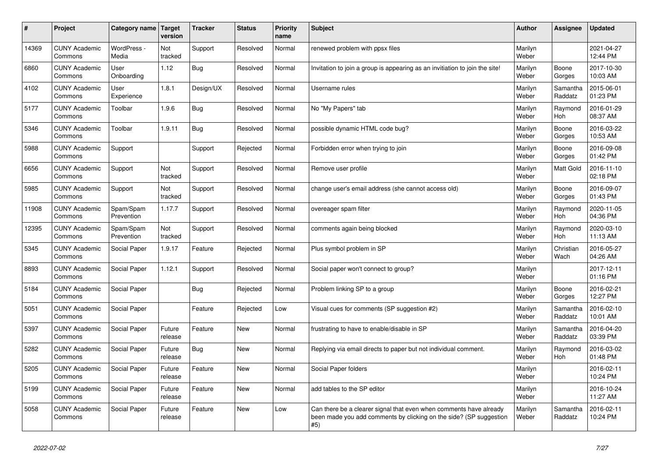| $\vert$ # | Project                         | Category name Target    | version           | <b>Tracker</b> | <b>Status</b> | <b>Priority</b><br>name | <b>Subject</b>                                                                                                                                  | <b>Author</b>    | Assignee              | <b>Updated</b>         |
|-----------|---------------------------------|-------------------------|-------------------|----------------|---------------|-------------------------|-------------------------------------------------------------------------------------------------------------------------------------------------|------------------|-----------------------|------------------------|
| 14369     | <b>CUNY Academic</b><br>Commons | WordPress -<br>Media    | Not<br>tracked    | Support        | Resolved      | Normal                  | renewed problem with ppsx files                                                                                                                 | Marilyn<br>Weber |                       | 2021-04-27<br>12:44 PM |
| 6860      | <b>CUNY Academic</b><br>Commons | User<br>Onboarding      | 1.12              | Bug            | Resolved      | Normal                  | Invitation to join a group is appearing as an invitiation to join the site!                                                                     | Marilyn<br>Weber | Boone<br>Gorges       | 2017-10-30<br>10:03 AM |
| 4102      | <b>CUNY Academic</b><br>Commons | User<br>Experience      | 1.8.1             | Design/UX      | Resolved      | Normal                  | Username rules                                                                                                                                  | Marilyn<br>Weber | Samantha<br>Raddatz   | 2015-06-01<br>01:23 PM |
| 5177      | <b>CUNY Academic</b><br>Commons | Toolbar                 | 1.9.6             | <b>Bug</b>     | Resolved      | Normal                  | No "My Papers" tab                                                                                                                              | Marilyn<br>Weber | Raymond<br><b>Hoh</b> | 2016-01-29<br>08:37 AM |
| 5346      | <b>CUNY Academic</b><br>Commons | Toolbar                 | 1.9.11            | Bug            | Resolved      | Normal                  | possible dynamic HTML code bug?                                                                                                                 | Marilyn<br>Weber | Boone<br>Gorges       | 2016-03-22<br>10:53 AM |
| 5988      | <b>CUNY Academic</b><br>Commons | Support                 |                   | Support        | Rejected      | Normal                  | Forbidden error when trying to join                                                                                                             | Marilyn<br>Weber | Boone<br>Gorges       | 2016-09-08<br>01:42 PM |
| 6656      | <b>CUNY Academic</b><br>Commons | Support                 | Not<br>tracked    | Support        | Resolved      | Normal                  | Remove user profile                                                                                                                             | Marilyn<br>Weber | <b>Matt Gold</b>      | 2016-11-10<br>02:18 PM |
| 5985      | <b>CUNY Academic</b><br>Commons | Support                 | Not<br>tracked    | Support        | Resolved      | Normal                  | change user's email address (she cannot access old)                                                                                             | Marilyn<br>Weber | Boone<br>Gorges       | 2016-09-07<br>01:43 PM |
| 11908     | <b>CUNY Academic</b><br>Commons | Spam/Spam<br>Prevention | 1.17.7            | Support        | Resolved      | Normal                  | overeager spam filter                                                                                                                           | Marilyn<br>Weber | Raymond<br><b>Hoh</b> | 2020-11-05<br>04:36 PM |
| 12395     | <b>CUNY Academic</b><br>Commons | Spam/Spam<br>Prevention | Not<br>tracked    | Support        | Resolved      | Normal                  | comments again being blocked                                                                                                                    | Marilyn<br>Weber | Raymond<br>Hoh        | 2020-03-10<br>11:13 AM |
| 5345      | <b>CUNY Academic</b><br>Commons | Social Paper            | 1.9.17            | Feature        | Rejected      | Normal                  | Plus symbol problem in SP                                                                                                                       | Marilyn<br>Weber | Christian<br>Wach     | 2016-05-27<br>04:26 AM |
| 8893      | <b>CUNY Academic</b><br>Commons | Social Paper            | 1.12.1            | Support        | Resolved      | Normal                  | Social paper won't connect to group?                                                                                                            | Marilyn<br>Weber |                       | 2017-12-11<br>01:16 PM |
| 5184      | <b>CUNY Academic</b><br>Commons | Social Paper            |                   | Bug            | Rejected      | Normal                  | Problem linking SP to a group                                                                                                                   | Marilyn<br>Weber | Boone<br>Gorges       | 2016-02-21<br>12:27 PM |
| 5051      | <b>CUNY Academic</b><br>Commons | Social Paper            |                   | Feature        | Rejected      | Low                     | Visual cues for comments (SP suggestion #2)                                                                                                     | Marilyn<br>Weber | Samantha<br>Raddatz   | 2016-02-10<br>10:01 AM |
| 5397      | <b>CUNY Academic</b><br>Commons | Social Paper            | Future<br>release | Feature        | <b>New</b>    | Normal                  | frustrating to have to enable/disable in SP                                                                                                     | Marilyn<br>Weber | Samantha<br>Raddatz   | 2016-04-20<br>03:39 PM |
| 5282      | <b>CUNY Academic</b><br>Commons | Social Paper            | Future<br>release | <b>Bug</b>     | <b>New</b>    | Normal                  | Replying via email directs to paper but not individual comment.                                                                                 | Marilyn<br>Weber | Raymond<br>Hoh        | 2016-03-02<br>01:48 PM |
| 5205      | <b>CUNY Academic</b><br>Commons | Social Paper            | Future<br>release | Feature        | <b>New</b>    | Normal                  | Social Paper folders                                                                                                                            | Marilyn<br>Weber |                       | 2016-02-11<br>10:24 PM |
| 5199      | <b>CUNY Academic</b><br>Commons | Social Paper            | Future<br>release | Feature        | <b>New</b>    | Normal                  | add tables to the SP editor                                                                                                                     | Marilyn<br>Weber |                       | 2016-10-24<br>11:27 AM |
| 5058      | <b>CUNY Academic</b><br>Commons | Social Paper            | Future<br>release | Feature        | <b>New</b>    | Low                     | Can there be a clearer signal that even when comments have already<br>been made you add comments by clicking on the side? (SP suggestion<br>#5) | Marilyn<br>Weber | Samantha<br>Raddatz   | 2016-02-11<br>10:24 PM |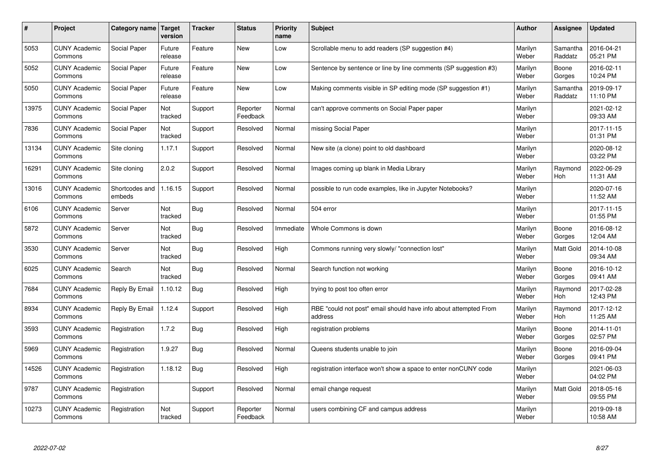| #     | Project                         | Category name            | <b>Target</b><br>version | <b>Tracker</b> | <b>Status</b>        | <b>Priority</b><br>name | <b>Subject</b>                                                              | <b>Author</b>    | Assignee            | <b>Updated</b>         |
|-------|---------------------------------|--------------------------|--------------------------|----------------|----------------------|-------------------------|-----------------------------------------------------------------------------|------------------|---------------------|------------------------|
| 5053  | <b>CUNY Academic</b><br>Commons | Social Paper             | Future<br>release        | Feature        | <b>New</b>           | Low                     | Scrollable menu to add readers (SP suggestion #4)                           | Marilyn<br>Weber | Samantha<br>Raddatz | 2016-04-21<br>05:21 PM |
| 5052  | <b>CUNY Academic</b><br>Commons | Social Paper             | Future<br>release        | Feature        | <b>New</b>           | Low                     | Sentence by sentence or line by line comments (SP suggestion #3)            | Marilyn<br>Weber | Boone<br>Gorges     | 2016-02-11<br>10:24 PM |
| 5050  | <b>CUNY Academic</b><br>Commons | Social Paper             | Future<br>release        | Feature        | <b>New</b>           | Low                     | Making comments visible in SP editing mode (SP suggestion #1)               | Marilyn<br>Weber | Samantha<br>Raddatz | 2019-09-17<br>11:10 PM |
| 13975 | <b>CUNY Academic</b><br>Commons | Social Paper             | Not<br>tracked           | Support        | Reporter<br>Feedback | Normal                  | can't approve comments on Social Paper paper                                | Marilyn<br>Weber |                     | 2021-02-12<br>09:33 AM |
| 7836  | <b>CUNY Academic</b><br>Commons | Social Paper             | Not<br>tracked           | Support        | Resolved             | Normal                  | missing Social Paper                                                        | Marilyn<br>Weber |                     | 2017-11-15<br>01:31 PM |
| 13134 | <b>CUNY Academic</b><br>Commons | Site cloning             | 1.17.1                   | Support        | Resolved             | Normal                  | New site (a clone) point to old dashboard                                   | Marilyn<br>Weber |                     | 2020-08-12<br>03:22 PM |
| 16291 | <b>CUNY Academic</b><br>Commons | Site cloning             | 2.0.2                    | Support        | Resolved             | Normal                  | Images coming up blank in Media Library                                     | Marilyn<br>Weber | Raymond<br>Hoh      | 2022-06-29<br>11:31 AM |
| 13016 | <b>CUNY Academic</b><br>Commons | Shortcodes and<br>embeds | 1.16.15                  | Support        | Resolved             | Normal                  | possible to run code examples, like in Jupyter Notebooks?                   | Marilyn<br>Weber |                     | 2020-07-16<br>11:52 AM |
| 6106  | <b>CUNY Academic</b><br>Commons | Server                   | Not<br>tracked           | <b>Bug</b>     | Resolved             | Normal                  | 504 error                                                                   | Marilyn<br>Weber |                     | 2017-11-15<br>01:55 PM |
| 5872  | <b>CUNY Academic</b><br>Commons | Server                   | Not<br>tracked           | Bug            | Resolved             | Immediate               | Whole Commons is down                                                       | Marilyn<br>Weber | Boone<br>Gorges     | 2016-08-12<br>12:04 AM |
| 3530  | <b>CUNY Academic</b><br>Commons | Server                   | Not<br>tracked           | <b>Bug</b>     | Resolved             | High                    | Commons running very slowly/ "connection lost"                              | Marilyn<br>Weber | Matt Gold           | 2014-10-08<br>09:34 AM |
| 6025  | <b>CUNY Academic</b><br>Commons | Search                   | Not<br>tracked           | Bug            | Resolved             | Normal                  | Search function not working                                                 | Marilyn<br>Weber | Boone<br>Gorges     | 2016-10-12<br>09:41 AM |
| 7684  | <b>CUNY Academic</b><br>Commons | Reply By Email           | 1.10.12                  | <b>Bug</b>     | Resolved             | High                    | trying to post too often error                                              | Marilyn<br>Weber | Raymond<br>Hoh      | 2017-02-28<br>12:43 PM |
| 8934  | <b>CUNY Academic</b><br>Commons | Reply By Email           | 1.12.4                   | Support        | Resolved             | High                    | RBE "could not post" email should have info about attempted From<br>address | Marilyn<br>Weber | Raymond<br>Hoh      | 2017-12-12<br>11:25 AM |
| 3593  | <b>CUNY Academic</b><br>Commons | Registration             | 1.7.2                    | Bug            | Resolved             | High                    | registration problems                                                       | Marilyn<br>Weber | Boone<br>Gorges     | 2014-11-01<br>02:57 PM |
| 5969  | <b>CUNY Academic</b><br>Commons | Registration             | 1.9.27                   | Bug            | Resolved             | Normal                  | Queens students unable to join                                              | Marilyn<br>Weber | Boone<br>Gorges     | 2016-09-04<br>09:41 PM |
| 14526 | <b>CUNY Academic</b><br>Commons | Registration             | 1.18.12                  | <b>Bug</b>     | Resolved             | High                    | registration interface won't show a space to enter nonCUNY code             | Marilyn<br>Weber |                     | 2021-06-03<br>04:02 PM |
| 9787  | <b>CUNY Academic</b><br>Commons | Registration             |                          | Support        | Resolved             | Normal                  | email change request                                                        | Marilyn<br>Weber | Matt Gold           | 2018-05-16<br>09:55 PM |
| 10273 | <b>CUNY Academic</b><br>Commons | Registration             | Not<br>tracked           | Support        | Reporter<br>Feedback | Normal                  | users combining CF and campus address                                       | Marilyn<br>Weber |                     | 2019-09-18<br>10:58 AM |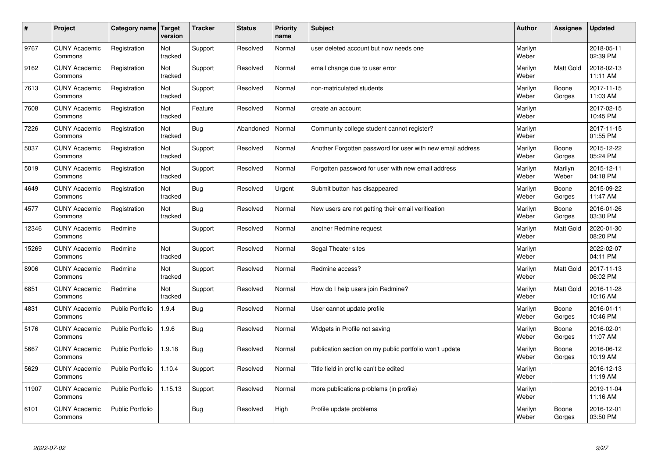| $\sharp$ | Project                         | Category name   Target  | version        | <b>Tracker</b> | <b>Status</b> | <b>Priority</b><br>name | <b>Subject</b>                                             | <b>Author</b>    | Assignee         | <b>Updated</b>         |
|----------|---------------------------------|-------------------------|----------------|----------------|---------------|-------------------------|------------------------------------------------------------|------------------|------------------|------------------------|
| 9767     | <b>CUNY Academic</b><br>Commons | Registration            | Not<br>tracked | Support        | Resolved      | Normal                  | user deleted account but now needs one                     | Marilyn<br>Weber |                  | 2018-05-11<br>02:39 PM |
| 9162     | <b>CUNY Academic</b><br>Commons | Registration            | Not<br>tracked | Support        | Resolved      | Normal                  | email change due to user error                             | Marilyn<br>Weber | <b>Matt Gold</b> | 2018-02-13<br>11:11 AM |
| 7613     | <b>CUNY Academic</b><br>Commons | Registration            | Not<br>tracked | Support        | Resolved      | Normal                  | non-matriculated students                                  | Marilyn<br>Weber | Boone<br>Gorges  | 2017-11-15<br>11:03 AM |
| 7608     | <b>CUNY Academic</b><br>Commons | Registration            | Not<br>tracked | Feature        | Resolved      | Normal                  | create an account                                          | Marilyn<br>Weber |                  | 2017-02-15<br>10:45 PM |
| 7226     | <b>CUNY Academic</b><br>Commons | Registration            | Not<br>tracked | Bug            | Abandoned     | Normal                  | Community college student cannot register?                 | Marilyn<br>Weber |                  | 2017-11-15<br>01:55 PM |
| 5037     | <b>CUNY Academic</b><br>Commons | Registration            | Not<br>tracked | Support        | Resolved      | Normal                  | Another Forgotten password for user with new email address | Marilyn<br>Weber | Boone<br>Gorges  | 2015-12-22<br>05:24 PM |
| 5019     | <b>CUNY Academic</b><br>Commons | Registration            | Not<br>tracked | Support        | Resolved      | Normal                  | Forgotten password for user with new email address         | Marilyn<br>Weber | Marilyn<br>Weber | 2015-12-11<br>04:18 PM |
| 4649     | <b>CUNY Academic</b><br>Commons | Registration            | Not<br>tracked | Bug            | Resolved      | Urgent                  | Submit button has disappeared                              | Marilyn<br>Weber | Boone<br>Gorges  | 2015-09-22<br>11:47 AM |
| 4577     | <b>CUNY Academic</b><br>Commons | Registration            | Not<br>tracked | Bug            | Resolved      | Normal                  | New users are not getting their email verification         | Marilyn<br>Weber | Boone<br>Gorges  | 2016-01-26<br>03:30 PM |
| 12346    | <b>CUNY Academic</b><br>Commons | Redmine                 |                | Support        | Resolved      | Normal                  | another Redmine request                                    | Marilyn<br>Weber | Matt Gold        | 2020-01-30<br>08:20 PM |
| 15269    | <b>CUNY Academic</b><br>Commons | Redmine                 | Not<br>tracked | Support        | Resolved      | Normal                  | Segal Theater sites                                        | Marilyn<br>Weber |                  | 2022-02-07<br>04:11 PM |
| 8906     | <b>CUNY Academic</b><br>Commons | Redmine                 | Not<br>tracked | Support        | Resolved      | Normal                  | Redmine access?                                            | Marilyn<br>Weber | <b>Matt Gold</b> | 2017-11-13<br>06:02 PM |
| 6851     | <b>CUNY Academic</b><br>Commons | Redmine                 | Not<br>tracked | Support        | Resolved      | Normal                  | How do I help users join Redmine?                          | Marilyn<br>Weber | Matt Gold        | 2016-11-28<br>10:16 AM |
| 4831     | <b>CUNY Academic</b><br>Commons | Public Portfolio        | 1.9.4          | Bug            | Resolved      | Normal                  | User cannot update profile                                 | Marilyn<br>Weber | Boone<br>Gorges  | 2016-01-11<br>10:46 PM |
| 5176     | <b>CUNY Academic</b><br>Commons | <b>Public Portfolio</b> | 1.9.6          | <b>Bug</b>     | Resolved      | Normal                  | Widgets in Profile not saving                              | Marilyn<br>Weber | Boone<br>Gorges  | 2016-02-01<br>11:07 AM |
| 5667     | <b>CUNY Academic</b><br>Commons | <b>Public Portfolio</b> | 1.9.18         | Bug            | Resolved      | Normal                  | publication section on my public portfolio won't update    | Marilyn<br>Weber | Boone<br>Gorges  | 2016-06-12<br>10:19 AM |
| 5629     | <b>CUNY Academic</b><br>Commons | Public Portfolio        | 1.10.4         | Support        | Resolved      | Normal                  | Title field in profile can't be edited                     | Marilyn<br>Weber |                  | 2016-12-13<br>11:19 AM |
| 11907    | <b>CUNY Academic</b><br>Commons | <b>Public Portfolio</b> | 1.15.13        | Support        | Resolved      | Normal                  | more publications problems (in profile)                    | Marilyn<br>Weber |                  | 2019-11-04<br>11:16 AM |
| 6101     | <b>CUNY Academic</b><br>Commons | <b>Public Portfolio</b> |                | <b>Bug</b>     | Resolved      | High                    | Profile update problems                                    | Marilyn<br>Weber | Boone<br>Gorges  | 2016-12-01<br>03:50 PM |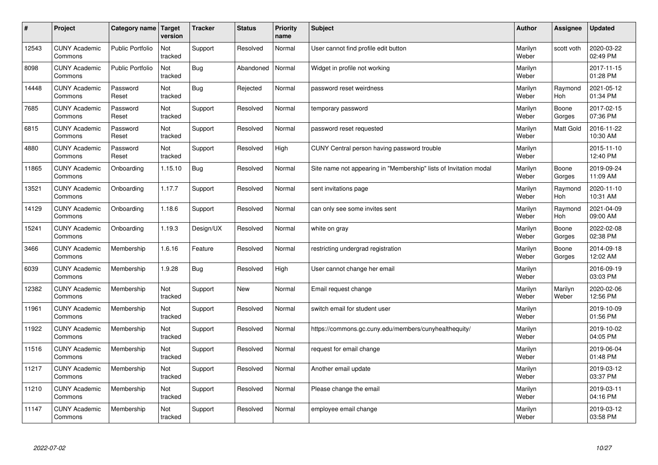| $\sharp$ | Project                         | Category name   Target  | version        | <b>Tracker</b> | <b>Status</b> | <b>Priority</b><br>name | <b>Subject</b>                                                    | <b>Author</b>    | Assignee              | Updated                |
|----------|---------------------------------|-------------------------|----------------|----------------|---------------|-------------------------|-------------------------------------------------------------------|------------------|-----------------------|------------------------|
| 12543    | <b>CUNY Academic</b><br>Commons | <b>Public Portfolio</b> | Not<br>tracked | Support        | Resolved      | Normal                  | User cannot find profile edit button                              | Marilyn<br>Weber | scott voth            | 2020-03-22<br>02:49 PM |
| 8098     | <b>CUNY Academic</b><br>Commons | <b>Public Portfolio</b> | Not<br>tracked | Bug            | Abandoned     | Normal                  | Widget in profile not working                                     | Marilyn<br>Weber |                       | 2017-11-15<br>01:28 PM |
| 14448    | <b>CUNY Academic</b><br>Commons | Password<br>Reset       | Not<br>tracked | Bug            | Rejected      | Normal                  | password reset weirdness                                          | Marilyn<br>Weber | Raymond<br><b>Hoh</b> | 2021-05-12<br>01:34 PM |
| 7685     | <b>CUNY Academic</b><br>Commons | Password<br>Reset       | Not<br>tracked | Support        | Resolved      | Normal                  | temporary password                                                | Marilyn<br>Weber | Boone<br>Gorges       | 2017-02-15<br>07:36 PM |
| 6815     | <b>CUNY Academic</b><br>Commons | Password<br>Reset       | Not<br>tracked | Support        | Resolved      | Normal                  | password reset requested                                          | Marilyn<br>Weber | <b>Matt Gold</b>      | 2016-11-22<br>10:30 AM |
| 4880     | <b>CUNY Academic</b><br>Commons | Password<br>Reset       | Not<br>tracked | Support        | Resolved      | High                    | CUNY Central person having password trouble                       | Marilyn<br>Weber |                       | 2015-11-10<br>12:40 PM |
| 11865    | <b>CUNY Academic</b><br>Commons | Onboarding              | 1.15.10        | <b>Bug</b>     | Resolved      | Normal                  | Site name not appearing in "Membership" lists of Invitation modal | Marilyn<br>Weber | Boone<br>Gorges       | 2019-09-24<br>11:09 AM |
| 13521    | <b>CUNY Academic</b><br>Commons | Onboarding              | 1.17.7         | Support        | Resolved      | Normal                  | sent invitations page                                             | Marilyn<br>Weber | Raymond<br>Hoh        | 2020-11-10<br>10:31 AM |
| 14129    | <b>CUNY Academic</b><br>Commons | Onboarding              | 1.18.6         | Support        | Resolved      | Normal                  | can only see some invites sent                                    | Marilyn<br>Weber | Raymond<br><b>Hoh</b> | 2021-04-09<br>09:00 AM |
| 15241    | <b>CUNY Academic</b><br>Commons | Onboarding              | 1.19.3         | Design/UX      | Resolved      | Normal                  | white on gray                                                     | Marilyn<br>Weber | Boone<br>Gorges       | 2022-02-08<br>02:38 PM |
| 3466     | <b>CUNY Academic</b><br>Commons | Membership              | 1.6.16         | Feature        | Resolved      | Normal                  | restricting undergrad registration                                | Marilyn<br>Weber | Boone<br>Gorges       | 2014-09-18<br>12:02 AM |
| 6039     | <b>CUNY Academic</b><br>Commons | Membership              | 1.9.28         | Bug            | Resolved      | High                    | User cannot change her email                                      | Marilyn<br>Weber |                       | 2016-09-19<br>03:03 PM |
| 12382    | <b>CUNY Academic</b><br>Commons | Membership              | Not<br>tracked | Support        | New           | Normal                  | Email request change                                              | Marilyn<br>Weber | Marilyn<br>Weber      | 2020-02-06<br>12:56 PM |
| 11961    | <b>CUNY Academic</b><br>Commons | Membership              | Not<br>tracked | Support        | Resolved      | Normal                  | switch email for student user                                     | Marilyn<br>Weber |                       | 2019-10-09<br>01:56 PM |
| 11922    | <b>CUNY Academic</b><br>Commons | Membership              | Not<br>tracked | Support        | Resolved      | Normal                  | https://commons.gc.cuny.edu/members/cunyhealthequity/             | Marilyn<br>Weber |                       | 2019-10-02<br>04:05 PM |
| 11516    | <b>CUNY Academic</b><br>Commons | Membership              | Not<br>tracked | Support        | Resolved      | Normal                  | request for email change                                          | Marilyn<br>Weber |                       | 2019-06-04<br>01:48 PM |
| 11217    | <b>CUNY Academic</b><br>Commons | Membership              | Not<br>tracked | Support        | Resolved      | Normal                  | Another email update                                              | Marilyn<br>Weber |                       | 2019-03-12<br>03:37 PM |
| 11210    | <b>CUNY Academic</b><br>Commons | Membership              | Not<br>tracked | Support        | Resolved      | Normal                  | Please change the email                                           | Marilyn<br>Weber |                       | 2019-03-11<br>04:16 PM |
| 11147    | <b>CUNY Academic</b><br>Commons | Membership              | Not<br>tracked | Support        | Resolved      | Normal                  | employee email change                                             | Marilyn<br>Weber |                       | 2019-03-12<br>03:58 PM |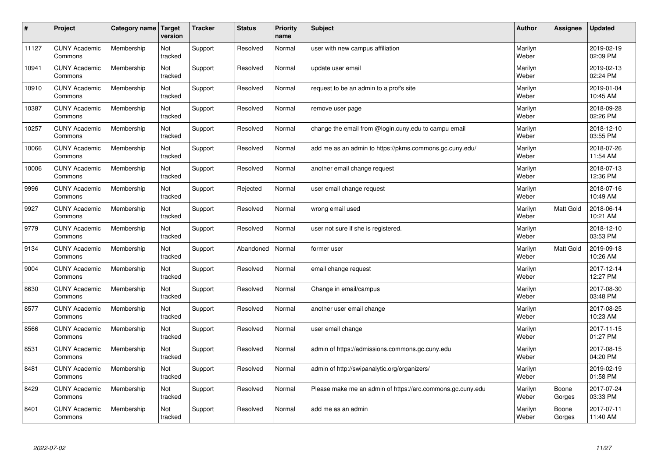| $\pmb{\#}$ | Project                         | <b>Category name</b> | <b>Target</b><br>version | <b>Tracker</b> | <b>Status</b> | <b>Priority</b><br>name | <b>Subject</b>                                             | <b>Author</b>    | Assignee        | <b>Updated</b>         |
|------------|---------------------------------|----------------------|--------------------------|----------------|---------------|-------------------------|------------------------------------------------------------|------------------|-----------------|------------------------|
| 11127      | <b>CUNY Academic</b><br>Commons | Membership           | Not<br>tracked           | Support        | Resolved      | Normal                  | user with new campus affiliation                           | Marilyn<br>Weber |                 | 2019-02-19<br>02:09 PM |
| 10941      | <b>CUNY Academic</b><br>Commons | Membership           | Not<br>tracked           | Support        | Resolved      | Normal                  | update user email                                          | Marilyn<br>Weber |                 | 2019-02-13<br>02:24 PM |
| 10910      | <b>CUNY Academic</b><br>Commons | Membership           | Not<br>tracked           | Support        | Resolved      | Normal                  | request to be an admin to a prof's site                    | Marilyn<br>Weber |                 | 2019-01-04<br>10:45 AM |
| 10387      | <b>CUNY Academic</b><br>Commons | Membership           | Not<br>tracked           | Support        | Resolved      | Normal                  | remove user page                                           | Marilyn<br>Weber |                 | 2018-09-28<br>02:26 PM |
| 10257      | <b>CUNY Academic</b><br>Commons | Membership           | Not<br>tracked           | Support        | Resolved      | Normal                  | change the email from @login.cuny.edu to campu email       | Marilyn<br>Weber |                 | 2018-12-10<br>03:55 PM |
| 10066      | <b>CUNY Academic</b><br>Commons | Membership           | Not<br>tracked           | Support        | Resolved      | Normal                  | add me as an admin to https://pkms.commons.gc.cuny.edu/    | Marilyn<br>Weber |                 | 2018-07-26<br>11:54 AM |
| 10006      | <b>CUNY Academic</b><br>Commons | Membership           | Not<br>tracked           | Support        | Resolved      | Normal                  | another email change request                               | Marilyn<br>Weber |                 | 2018-07-13<br>12:36 PM |
| 9996       | <b>CUNY Academic</b><br>Commons | Membership           | Not<br>tracked           | Support        | Rejected      | Normal                  | user email change request                                  | Marilyn<br>Weber |                 | 2018-07-16<br>10:49 AM |
| 9927       | <b>CUNY Academic</b><br>Commons | Membership           | Not<br>tracked           | Support        | Resolved      | Normal                  | wrong email used                                           | Marilyn<br>Weber | Matt Gold       | 2018-06-14<br>10:21 AM |
| 9779       | <b>CUNY Academic</b><br>Commons | Membership           | Not<br>tracked           | Support        | Resolved      | Normal                  | user not sure if she is registered.                        | Marilyn<br>Weber |                 | 2018-12-10<br>03:53 PM |
| 9134       | <b>CUNY Academic</b><br>Commons | Membership           | Not<br>tracked           | Support        | Abandoned     | Normal                  | former user                                                | Marilyn<br>Weber | Matt Gold       | 2019-09-18<br>10:26 AM |
| 9004       | <b>CUNY Academic</b><br>Commons | Membership           | Not<br>tracked           | Support        | Resolved      | Normal                  | email change request                                       | Marilyn<br>Weber |                 | 2017-12-14<br>12:27 PM |
| 8630       | <b>CUNY Academic</b><br>Commons | Membership           | Not<br>tracked           | Support        | Resolved      | Normal                  | Change in email/campus                                     | Marilyn<br>Weber |                 | 2017-08-30<br>03:48 PM |
| 8577       | <b>CUNY Academic</b><br>Commons | Membership           | Not<br>tracked           | Support        | Resolved      | Normal                  | another user email change                                  | Marilyn<br>Weber |                 | 2017-08-25<br>10:23 AM |
| 8566       | <b>CUNY Academic</b><br>Commons | Membership           | Not<br>tracked           | Support        | Resolved      | Normal                  | user email change                                          | Marilyn<br>Weber |                 | 2017-11-15<br>01:27 PM |
| 8531       | <b>CUNY Academic</b><br>Commons | Membership           | Not<br>tracked           | Support        | Resolved      | Normal                  | admin of https://admissions.commons.gc.cuny.edu            | Marilyn<br>Weber |                 | 2017-08-15<br>04:20 PM |
| 8481       | <b>CUNY Academic</b><br>Commons | Membership           | Not<br>tracked           | Support        | Resolved      | Normal                  | admin of http://swipanalytic.org/organizers/               | Marilyn<br>Weber |                 | 2019-02-19<br>01:58 PM |
| 8429       | <b>CUNY Academic</b><br>Commons | Membership           | Not<br>tracked           | Support        | Resolved      | Normal                  | Please make me an admin of https://arc.commons.gc.cuny.edu | Marilyn<br>Weber | Boone<br>Gorges | 2017-07-24<br>03:33 PM |
| 8401       | <b>CUNY Academic</b><br>Commons | Membership           | Not<br>tracked           | Support        | Resolved      | Normal                  | add me as an admin                                         | Marilyn<br>Weber | Boone<br>Gorges | 2017-07-11<br>11:40 AM |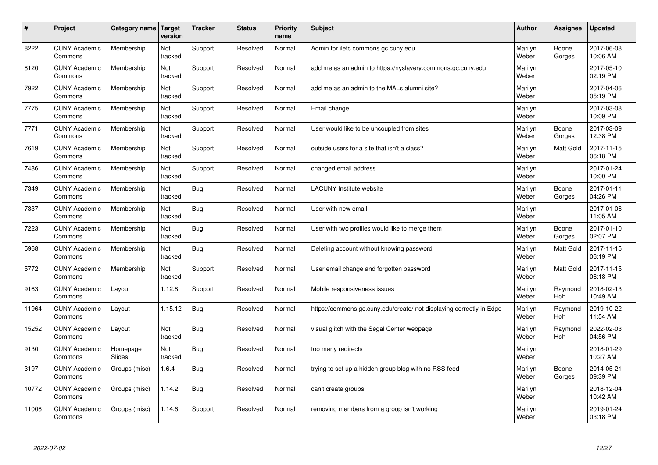| $\#$  | Project                         | Category name   Target | version        | <b>Tracker</b> | <b>Status</b> | Priority<br>name | <b>Subject</b>                                                       | <b>Author</b>    | <b>Assignee</b>       | <b>Updated</b>         |
|-------|---------------------------------|------------------------|----------------|----------------|---------------|------------------|----------------------------------------------------------------------|------------------|-----------------------|------------------------|
| 8222  | <b>CUNY Academic</b><br>Commons | Membership             | Not<br>tracked | Support        | Resolved      | Normal           | Admin for iletc.commons.gc.cuny.edu                                  | Marilyn<br>Weber | Boone<br>Gorges       | 2017-06-08<br>10:06 AM |
| 8120  | <b>CUNY Academic</b><br>Commons | Membership             | Not<br>tracked | Support        | Resolved      | Normal           | add me as an admin to https://nyslavery.commons.gc.cuny.edu          | Marilyn<br>Weber |                       | 2017-05-10<br>02:19 PM |
| 7922  | <b>CUNY Academic</b><br>Commons | Membership             | Not<br>tracked | Support        | Resolved      | Normal           | add me as an admin to the MALs alumni site?                          | Marilyn<br>Weber |                       | 2017-04-06<br>05:19 PM |
| 7775  | <b>CUNY Academic</b><br>Commons | Membership             | Not<br>tracked | Support        | Resolved      | Normal           | Email change                                                         | Marilyn<br>Weber |                       | 2017-03-08<br>10:09 PM |
| 7771  | <b>CUNY Academic</b><br>Commons | Membership             | Not<br>tracked | Support        | Resolved      | Normal           | User would like to be uncoupled from sites                           | Marilyn<br>Weber | Boone<br>Gorges       | 2017-03-09<br>12:38 PM |
| 7619  | <b>CUNY Academic</b><br>Commons | Membership             | Not<br>tracked | Support        | Resolved      | Normal           | outside users for a site that isn't a class?                         | Marilyn<br>Weber | <b>Matt Gold</b>      | 2017-11-15<br>06:18 PM |
| 7486  | <b>CUNY Academic</b><br>Commons | Membership             | Not<br>tracked | Support        | Resolved      | Normal           | changed email address                                                | Marilyn<br>Weber |                       | 2017-01-24<br>10:00 PM |
| 7349  | <b>CUNY Academic</b><br>Commons | Membership             | Not<br>tracked | Bug            | Resolved      | Normal           | <b>LACUNY</b> Institute website                                      | Marilyn<br>Weber | Boone<br>Gorges       | 2017-01-11<br>04:26 PM |
| 7337  | <b>CUNY Academic</b><br>Commons | Membership             | Not<br>tracked | <b>Bug</b>     | Resolved      | Normal           | User with new email                                                  | Marilyn<br>Weber |                       | 2017-01-06<br>11:05 AM |
| 7223  | <b>CUNY Academic</b><br>Commons | Membership             | Not<br>tracked | <b>Bug</b>     | Resolved      | Normal           | User with two profiles would like to merge them                      | Marilyn<br>Weber | Boone<br>Gorges       | 2017-01-10<br>02:07 PM |
| 5968  | <b>CUNY Academic</b><br>Commons | Membership             | Not<br>tracked | Bug            | Resolved      | Normal           | Deleting account without knowing password                            | Marilyn<br>Weber | <b>Matt Gold</b>      | 2017-11-15<br>06:19 PM |
| 5772  | <b>CUNY Academic</b><br>Commons | Membership             | Not<br>tracked | Support        | Resolved      | Normal           | User email change and forgotten password                             | Marilyn<br>Weber | Matt Gold             | 2017-11-15<br>06:18 PM |
| 9163  | <b>CUNY Academic</b><br>Commons | Layout                 | 1.12.8         | Support        | Resolved      | Normal           | Mobile responsiveness issues                                         | Marilyn<br>Weber | Raymond<br>Hoh        | 2018-02-13<br>10:49 AM |
| 11964 | <b>CUNY Academic</b><br>Commons | Layout                 | 1.15.12        | <b>Bug</b>     | Resolved      | Normal           | https://commons.gc.cuny.edu/create/ not displaying correctly in Edge | Marilyn<br>Weber | Raymond<br><b>Hoh</b> | 2019-10-22<br>11:54 AM |
| 15252 | <b>CUNY Academic</b><br>Commons | Layout                 | Not<br>tracked | Bug            | Resolved      | Normal           | visual glitch with the Segal Center webpage                          | Marilyn<br>Weber | Raymond<br>Hoh        | 2022-02-03<br>04:56 PM |
| 9130  | <b>CUNY Academic</b><br>Commons | Homepage<br>Slides     | Not<br>tracked | Bug            | Resolved      | Normal           | too many redirects                                                   | Marilyn<br>Weber |                       | 2018-01-29<br>10:27 AM |
| 3197  | <b>CUNY Academic</b><br>Commons | Groups (misc)          | 1.6.4          | Bug            | Resolved      | Normal           | trying to set up a hidden group blog with no RSS feed                | Marilyn<br>Weber | Boone<br>Gorges       | 2014-05-21<br>09:39 PM |
| 10772 | <b>CUNY Academic</b><br>Commons | Groups (misc)          | 1.14.2         | <b>Bug</b>     | Resolved      | Normal           | can't create groups                                                  | Marilyn<br>Weber |                       | 2018-12-04<br>10:42 AM |
| 11006 | <b>CUNY Academic</b><br>Commons | Groups (misc)          | 1.14.6         | Support        | Resolved      | Normal           | removing members from a group isn't working                          | Marilyn<br>Weber |                       | 2019-01-24<br>03:18 PM |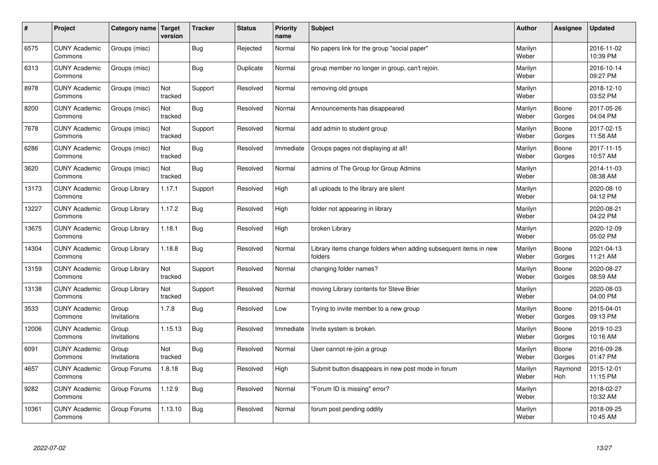| $\vert$ # | Project                         | Category name   Target | version        | <b>Tracker</b> | <b>Status</b> | <b>Priority</b><br>name | <b>Subject</b>                                                              | <b>Author</b>    | Assignee              | <b>Updated</b>         |
|-----------|---------------------------------|------------------------|----------------|----------------|---------------|-------------------------|-----------------------------------------------------------------------------|------------------|-----------------------|------------------------|
| 6575      | <b>CUNY Academic</b><br>Commons | Groups (misc)          |                | <b>Bug</b>     | Rejected      | Normal                  | No papers link for the group "social paper"                                 | Marilyn<br>Weber |                       | 2016-11-02<br>10:39 PM |
| 6313      | <b>CUNY Academic</b><br>Commons | Groups (misc)          |                | Bug            | Duplicate     | Normal                  | group member no longer in group, can't rejoin.                              | Marilyn<br>Weber |                       | 2016-10-14<br>09:27 PM |
| 8978      | <b>CUNY Academic</b><br>Commons | Groups (misc)          | Not<br>tracked | Support        | Resolved      | Normal                  | removing old groups                                                         | Marilyn<br>Weber |                       | 2018-12-10<br>03:52 PM |
| 8200      | <b>CUNY Academic</b><br>Commons | Groups (misc)          | Not<br>tracked | <b>Bug</b>     | Resolved      | Normal                  | Announcements has disappeared                                               | Marilyn<br>Weber | Boone<br>Gorges       | 2017-05-26<br>04:04 PM |
| 7678      | <b>CUNY Academic</b><br>Commons | Groups (misc)          | Not<br>tracked | Support        | Resolved      | Normal                  | add admin to student group                                                  | Marilyn<br>Weber | Boone<br>Gorges       | 2017-02-15<br>11:58 AM |
| 6286      | <b>CUNY Academic</b><br>Commons | Groups (misc)          | Not<br>tracked | Bug            | Resolved      | Immediate               | Groups pages not displaying at all!                                         | Marilyn<br>Weber | Boone<br>Gorges       | 2017-11-15<br>10:57 AM |
| 3620      | <b>CUNY Academic</b><br>Commons | Groups (misc)          | Not<br>tracked | <b>Bug</b>     | Resolved      | Normal                  | admins of The Group for Group Admins                                        | Marilyn<br>Weber |                       | 2014-11-03<br>08:38 AM |
| 13173     | <b>CUNY Academic</b><br>Commons | Group Library          | 1.17.1         | Support        | Resolved      | High                    | all uploads to the library are silent                                       | Marilyn<br>Weber |                       | 2020-08-10<br>04:12 PM |
| 13227     | <b>CUNY Academic</b><br>Commons | Group Library          | 1.17.2         | Bug            | Resolved      | High                    | folder not appearing in library                                             | Marilyn<br>Weber |                       | 2020-08-21<br>04:22 PM |
| 13675     | <b>CUNY Academic</b><br>Commons | Group Library          | 1.18.1         | Bug            | Resolved      | High                    | broken Library                                                              | Marilyn<br>Weber |                       | 2020-12-09<br>05:02 PM |
| 14304     | <b>CUNY Academic</b><br>Commons | Group Library          | 1.18.8         | <b>Bug</b>     | Resolved      | Normal                  | Library items change folders when adding subsequent items in new<br>folders | Marilyn<br>Weber | Boone<br>Gorges       | 2021-04-13<br>11:21 AM |
| 13159     | <b>CUNY Academic</b><br>Commons | Group Library          | Not<br>tracked | Support        | Resolved      | Normal                  | changing folder names?                                                      | Marilyn<br>Weber | Boone<br>Gorges       | 2020-08-27<br>08:59 AM |
| 13138     | <b>CUNY Academic</b><br>Commons | Group Library          | Not<br>tracked | Support        | Resolved      | Normal                  | moving Library contents for Steve Brier                                     | Marilyn<br>Weber |                       | 2020-08-03<br>04:00 PM |
| 3533      | <b>CUNY Academic</b><br>Commons | Group<br>Invitations   | 1.7.8          | <b>Bug</b>     | Resolved      | Low                     | Trying to invite member to a new group                                      | Marilyn<br>Weber | Boone<br>Gorges       | 2015-04-01<br>09:13 PM |
| 12006     | <b>CUNY Academic</b><br>Commons | Group<br>Invitations   | 1.15.13        | Bug            | Resolved      | Immediate               | Invite system is broken.                                                    | Marilyn<br>Weber | Boone<br>Gorges       | 2019-10-23<br>10:16 AM |
| 6091      | <b>CUNY Academic</b><br>Commons | Group<br>Invitations   | Not<br>tracked | <b>Bug</b>     | Resolved      | Normal                  | User cannot re-join a group                                                 | Marilyn<br>Weber | Boone<br>Gorges       | 2016-09-28<br>01:47 PM |
| 4657      | <b>CUNY Academic</b><br>Commons | Group Forums           | 1.8.18         | Bug            | Resolved      | High                    | Submit button disappears in new post mode in forum                          | Marilyn<br>Weber | Raymond<br><b>Hoh</b> | 2015-12-01<br>11:15 PM |
| 9282      | <b>CUNY Academic</b><br>Commons | Group Forums           | 1.12.9         | Bug            | Resolved      | Normal                  | "Forum ID is missing" error?                                                | Marilyn<br>Weber |                       | 2018-02-27<br>10:32 AM |
| 10361     | <b>CUNY Academic</b><br>Commons | Group Forums           | 1.13.10        | <b>Bug</b>     | Resolved      | Normal                  | forum post pending oddity                                                   | Marilyn<br>Weber |                       | 2018-09-25<br>10:45 AM |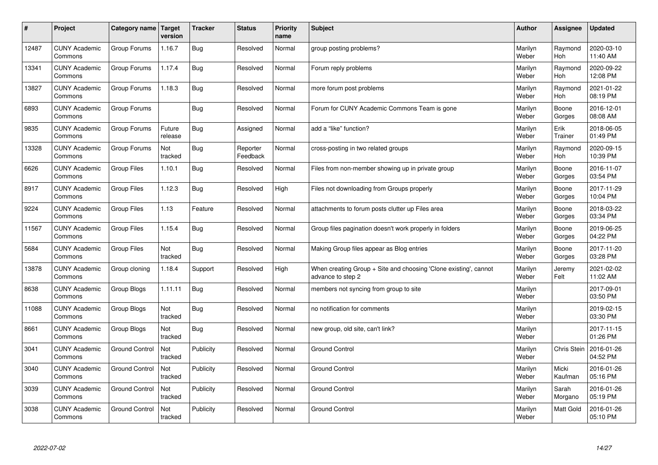| $\pmb{\sharp}$ | Project                         | Category name         | Target<br>version | <b>Tracker</b> | <b>Status</b>        | <b>Priority</b><br>name | <b>Subject</b>                                                                        | <b>Author</b>    | Assignee              | <b>Updated</b>         |
|----------------|---------------------------------|-----------------------|-------------------|----------------|----------------------|-------------------------|---------------------------------------------------------------------------------------|------------------|-----------------------|------------------------|
| 12487          | <b>CUNY Academic</b><br>Commons | Group Forums          | 1.16.7            | <b>Bug</b>     | Resolved             | Normal                  | group posting problems?                                                               | Marilyn<br>Weber | Raymond<br><b>Hoh</b> | 2020-03-10<br>11:40 AM |
| 13341          | <b>CUNY Academic</b><br>Commons | Group Forums          | 1.17.4            | <b>Bug</b>     | Resolved             | Normal                  | Forum reply problems                                                                  | Marilyn<br>Weber | Raymond<br>Hoh        | 2020-09-22<br>12:08 PM |
| 13827          | <b>CUNY Academic</b><br>Commons | Group Forums          | 1.18.3            | <b>Bug</b>     | Resolved             | Normal                  | more forum post problems                                                              | Marilyn<br>Weber | Raymond<br><b>Hoh</b> | 2021-01-22<br>08:19 PM |
| 6893           | <b>CUNY Academic</b><br>Commons | Group Forums          |                   | <b>Bug</b>     | Resolved             | Normal                  | Forum for CUNY Academic Commons Team is gone                                          | Marilyn<br>Weber | Boone<br>Gorges       | 2016-12-01<br>08:08 AM |
| 9835           | <b>CUNY Academic</b><br>Commons | Group Forums          | Future<br>release | <b>Bug</b>     | Assigned             | Normal                  | add a "like" function?                                                                | Marilyn<br>Weber | Erik<br>Trainer       | 2018-06-05<br>01:49 PM |
| 13328          | <b>CUNY Academic</b><br>Commons | Group Forums          | Not<br>tracked    | <b>Bug</b>     | Reporter<br>Feedback | Normal                  | cross-posting in two related groups                                                   | Marilyn<br>Weber | Raymond<br>Hoh        | 2020-09-15<br>10:39 PM |
| 6626           | <b>CUNY Academic</b><br>Commons | Group Files           | 1.10.1            | <b>Bug</b>     | Resolved             | Normal                  | Files from non-member showing up in private group                                     | Marilyn<br>Weber | Boone<br>Gorges       | 2016-11-07<br>03:54 PM |
| 8917           | <b>CUNY Academic</b><br>Commons | Group Files           | 1.12.3            | Bug            | Resolved             | High                    | Files not downloading from Groups properly                                            | Marilyn<br>Weber | Boone<br>Gorges       | 2017-11-29<br>10:04 PM |
| 9224           | <b>CUNY Academic</b><br>Commons | Group Files           | 1.13              | Feature        | Resolved             | Normal                  | attachments to forum posts clutter up Files area                                      | Marilyn<br>Weber | Boone<br>Gorges       | 2018-03-22<br>03:34 PM |
| 11567          | <b>CUNY Academic</b><br>Commons | <b>Group Files</b>    | 1.15.4            | Bug            | Resolved             | Normal                  | Group files pagination doesn't work properly in folders                               | Marilyn<br>Weber | Boone<br>Gorges       | 2019-06-25<br>04:22 PM |
| 5684           | <b>CUNY Academic</b><br>Commons | Group Files           | Not<br>tracked    | <b>Bug</b>     | Resolved             | Normal                  | Making Group files appear as Blog entries                                             | Marilyn<br>Weber | Boone<br>Gorges       | 2017-11-20<br>03:28 PM |
| 13878          | <b>CUNY Academic</b><br>Commons | Group cloning         | 1.18.4            | Support        | Resolved             | High                    | When creating Group + Site and choosing 'Clone existing', cannot<br>advance to step 2 | Marilyn<br>Weber | Jeremy<br>Felt        | 2021-02-02<br>11:02 AM |
| 8638           | <b>CUNY Academic</b><br>Commons | Group Blogs           | 1.11.11           | <b>Bug</b>     | Resolved             | Normal                  | members not syncing from group to site                                                | Marilyn<br>Weber |                       | 2017-09-01<br>03:50 PM |
| 11088          | <b>CUNY Academic</b><br>Commons | Group Blogs           | Not<br>tracked    | <b>Bug</b>     | Resolved             | Normal                  | no notification for comments                                                          | Marilyn<br>Weber |                       | 2019-02-15<br>03:30 PM |
| 8661           | <b>CUNY Academic</b><br>Commons | Group Blogs           | Not<br>tracked    | <b>Bug</b>     | Resolved             | Normal                  | new group, old site, can't link?                                                      | Marilyn<br>Weber |                       | 2017-11-15<br>01:26 PM |
| 3041           | <b>CUNY Academic</b><br>Commons | <b>Ground Control</b> | Not<br>tracked    | Publicity      | Resolved             | Normal                  | <b>Ground Control</b>                                                                 | Marilyn<br>Weber | Chris Stein           | 2016-01-26<br>04:52 PM |
| 3040           | <b>CUNY Academic</b><br>Commons | <b>Ground Control</b> | Not<br>tracked    | Publicity      | Resolved             | Normal                  | <b>Ground Control</b>                                                                 | Marilyn<br>Weber | Micki<br>Kaufman      | 2016-01-26<br>05:16 PM |
| 3039           | <b>CUNY Academic</b><br>Commons | <b>Ground Control</b> | Not<br>tracked    | Publicity      | Resolved             | Normal                  | <b>Ground Control</b>                                                                 | Marilyn<br>Weber | Sarah<br>Morgano      | 2016-01-26<br>05:19 PM |
| 3038           | <b>CUNY Academic</b><br>Commons | <b>Ground Control</b> | Not<br>tracked    | Publicity      | Resolved             | Normal                  | <b>Ground Control</b>                                                                 | Marilyn<br>Weber | Matt Gold             | 2016-01-26<br>05:10 PM |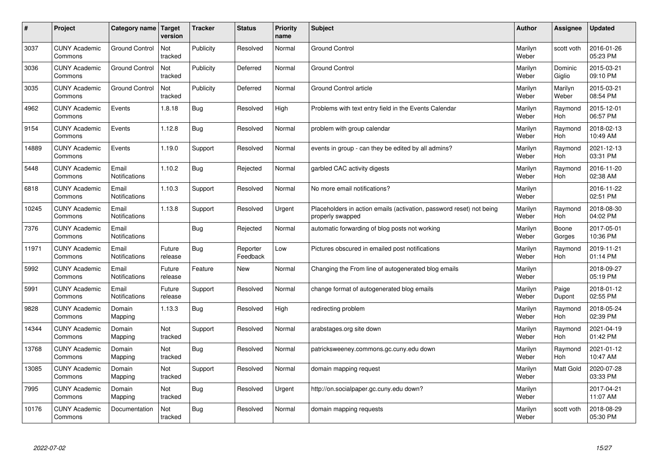| $\vert$ # | Project                         | Category name   Target        | version           | <b>Tracker</b> | <b>Status</b>        | <b>Priority</b><br>name | <b>Subject</b>                                                                           | <b>Author</b>    | Assignee              | Updated                |
|-----------|---------------------------------|-------------------------------|-------------------|----------------|----------------------|-------------------------|------------------------------------------------------------------------------------------|------------------|-----------------------|------------------------|
| 3037      | <b>CUNY Academic</b><br>Commons | <b>Ground Control</b>         | Not<br>tracked    | Publicity      | Resolved             | Normal                  | <b>Ground Control</b>                                                                    | Marilyn<br>Weber | scott voth            | 2016-01-26<br>05:23 PM |
| 3036      | <b>CUNY Academic</b><br>Commons | <b>Ground Control</b>         | Not<br>tracked    | Publicity      | Deferred             | Normal                  | <b>Ground Control</b>                                                                    | Marilyn<br>Weber | Dominic<br>Giglio     | 2015-03-21<br>09:10 PM |
| 3035      | <b>CUNY Academic</b><br>Commons | <b>Ground Control</b>         | Not<br>tracked    | Publicity      | Deferred             | Normal                  | Ground Control article                                                                   | Marilyn<br>Weber | Marilyn<br>Weber      | 2015-03-21<br>08:54 PM |
| 4962      | <b>CUNY Academic</b><br>Commons | Events                        | 1.8.18            | Bug            | Resolved             | High                    | Problems with text entry field in the Events Calendar                                    | Marilyn<br>Weber | Raymond<br>Hoh        | 2015-12-01<br>06:57 PM |
| 9154      | <b>CUNY Academic</b><br>Commons | Events                        | 1.12.8            | Bug            | Resolved             | Normal                  | problem with group calendar                                                              | Marilyn<br>Weber | Raymond<br>Hoh        | 2018-02-13<br>10:49 AM |
| 14889     | <b>CUNY Academic</b><br>Commons | Events                        | 1.19.0            | Support        | Resolved             | Normal                  | events in group - can they be edited by all admins?                                      | Marilyn<br>Weber | Raymond<br>Hoh        | 2021-12-13<br>03:31 PM |
| 5448      | <b>CUNY Academic</b><br>Commons | Email<br><b>Notifications</b> | 1.10.2            | <b>Bug</b>     | Rejected             | Normal                  | garbled CAC activity digests                                                             | Marilyn<br>Weber | Raymond<br>Hoh        | 2016-11-20<br>02:38 AM |
| 6818      | <b>CUNY Academic</b><br>Commons | Email<br>Notifications        | 1.10.3            | Support        | Resolved             | Normal                  | No more email notifications?                                                             | Marilyn<br>Weber |                       | 2016-11-22<br>02:51 PM |
| 10245     | <b>CUNY Academic</b><br>Commons | Email<br>Notifications        | 1.13.8            | Support        | Resolved             | Urgent                  | Placeholders in action emails (activation, password reset) not being<br>properly swapped | Marilyn<br>Weber | Raymond<br><b>Hoh</b> | 2018-08-30<br>04:02 PM |
| 7376      | <b>CUNY Academic</b><br>Commons | Email<br><b>Notifications</b> |                   | Bug            | Rejected             | Normal                  | automatic forwarding of blog posts not working                                           | Marilyn<br>Weber | Boone<br>Gorges       | 2017-05-01<br>10:36 PM |
| 11971     | <b>CUNY Academic</b><br>Commons | Email<br>Notifications        | Future<br>release | Bug            | Reporter<br>Feedback | Low                     | Pictures obscured in emailed post notifications                                          | Marilyn<br>Weber | Raymond<br>Hoh        | 2019-11-21<br>01:14 PM |
| 5992      | <b>CUNY Academic</b><br>Commons | Email<br>Notifications        | Future<br>release | Feature        | <b>New</b>           | Normal                  | Changing the From line of autogenerated blog emails                                      | Marilyn<br>Weber |                       | 2018-09-27<br>05:19 PM |
| 5991      | <b>CUNY Academic</b><br>Commons | Email<br>Notifications        | Future<br>release | Support        | Resolved             | Normal                  | change format of autogenerated blog emails                                               | Marilyn<br>Weber | Paige<br>Dupont       | 2018-01-12<br>02:55 PM |
| 9828      | <b>CUNY Academic</b><br>Commons | Domain<br>Mapping             | 1.13.3            | Bug            | Resolved             | High                    | redirecting problem                                                                      | Marilyn<br>Weber | Raymond<br><b>Hoh</b> | 2018-05-24<br>02:39 PM |
| 14344     | <b>CUNY Academic</b><br>Commons | Domain<br>Mapping             | Not<br>tracked    | Support        | Resolved             | Normal                  | arabstages.org site down                                                                 | Marilyn<br>Weber | Raymond<br><b>Hoh</b> | 2021-04-19<br>01:42 PM |
| 13768     | <b>CUNY Academic</b><br>Commons | Domain<br>Mapping             | Not<br>tracked    | Bug            | Resolved             | Normal                  | patricksweeney.commons.gc.cuny.edu down                                                  | Marilyn<br>Weber | Raymond<br>Hoh        | 2021-01-12<br>10:47 AM |
| 13085     | <b>CUNY Academic</b><br>Commons | Domain<br>Mapping             | Not<br>tracked    | Support        | Resolved             | Normal                  | domain mapping request                                                                   | Marilyn<br>Weber | Matt Gold             | 2020-07-28<br>03:33 PM |
| 7995      | <b>CUNY Academic</b><br>Commons | Domain<br>Mapping             | Not<br>tracked    | Bug            | Resolved             | Urgent                  | http://on.socialpaper.gc.cuny.edu down?                                                  | Marilyn<br>Weber |                       | 2017-04-21<br>11:07 AM |
| 10176     | <b>CUNY Academic</b><br>Commons | Documentation                 | Not<br>tracked    | Bug            | Resolved             | Normal                  | domain mapping requests                                                                  | Marilyn<br>Weber | scott voth            | 2018-08-29<br>05:30 PM |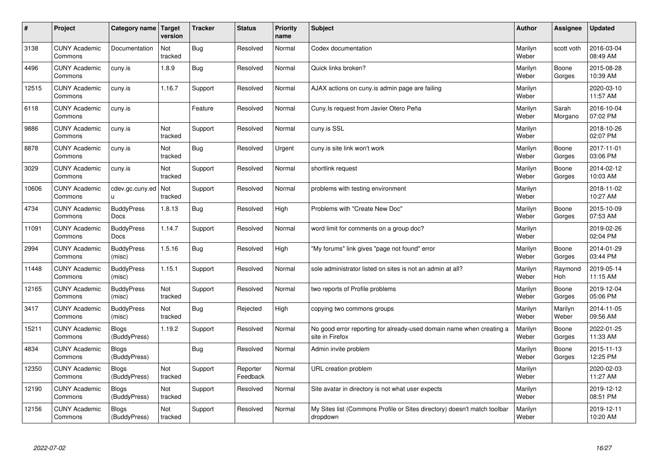| $\sharp$ | Project                         | Category name   Target       | version        | <b>Tracker</b> | <b>Status</b>        | <b>Priority</b><br>name | <b>Subject</b>                                                                          | <b>Author</b>    | Assignee         | Updated                |
|----------|---------------------------------|------------------------------|----------------|----------------|----------------------|-------------------------|-----------------------------------------------------------------------------------------|------------------|------------------|------------------------|
| 3138     | <b>CUNY Academic</b><br>Commons | Documentation                | Not<br>tracked | Bug            | Resolved             | Normal                  | Codex documentation                                                                     | Marilyn<br>Weber | scott voth       | 2016-03-04<br>08:49 AM |
| 4496     | <b>CUNY Academic</b><br>Commons | cuny.is                      | 1.8.9          | Bug            | Resolved             | Normal                  | Quick links broken?                                                                     | Marilyn<br>Weber | Boone<br>Gorges  | 2015-08-28<br>10:39 AM |
| 12515    | <b>CUNY Academic</b><br>Commons | cuny.is                      | 1.16.7         | Support        | Resolved             | Normal                  | AJAX actions on cuny is admin page are failing                                          | Marilyn<br>Weber |                  | 2020-03-10<br>11:57 AM |
| 6118     | <b>CUNY Academic</b><br>Commons | cuny.is                      |                | Feature        | Resolved             | Normal                  | Cuny.Is request from Javier Otero Peña                                                  | Marilyn<br>Weber | Sarah<br>Morgano | 2016-10-04<br>07:02 PM |
| 9886     | <b>CUNY Academic</b><br>Commons | cuny.is                      | Not<br>tracked | Support        | Resolved             | Normal                  | cuny.is SSL                                                                             | Marilyn<br>Weber |                  | 2018-10-26<br>02:07 PM |
| 8878     | <b>CUNY Academic</b><br>Commons | cuny.is                      | Not<br>tracked | Bug            | Resolved             | Urgent                  | cuny.is site link won't work                                                            | Marilyn<br>Weber | Boone<br>Gorges  | 2017-11-01<br>03:06 PM |
| 3029     | <b>CUNY Academic</b><br>Commons | cuny.is                      | Not<br>tracked | Support        | Resolved             | Normal                  | shortlink request                                                                       | Marilyn<br>Weber | Boone<br>Gorges  | 2014-02-12<br>10:03 AM |
| 10606    | <b>CUNY Academic</b><br>Commons | cdev.gc.cuny.ed<br>u.        | Not<br>tracked | Support        | Resolved             | Normal                  | problems with testing environment                                                       | Marilyn<br>Weber |                  | 2018-11-02<br>10:27 AM |
| 4734     | <b>CUNY Academic</b><br>Commons | <b>BuddyPress</b><br>Docs    | 1.8.13         | <b>Bug</b>     | Resolved             | High                    | Problems with "Create New Doc"                                                          | Marilyn<br>Weber | Boone<br>Gorges  | 2015-10-09<br>07:53 AM |
| 11091    | <b>CUNY Academic</b><br>Commons | <b>BuddyPress</b><br>Docs    | 1.14.7         | Support        | Resolved             | Normal                  | word limit for comments on a group doc?                                                 | Marilyn<br>Weber |                  | 2019-02-26<br>02:04 PM |
| 2994     | <b>CUNY Academic</b><br>Commons | <b>BuddyPress</b><br>(misc)  | 1.5.16         | Bug            | Resolved             | High                    | 'My forums" link gives "page not found" error                                           | Marilyn<br>Weber | Boone<br>Gorges  | 2014-01-29<br>03:44 PM |
| 11448    | <b>CUNY Academic</b><br>Commons | <b>BuddyPress</b><br>(misc)  | 1.15.1         | Support        | Resolved             | Normal                  | sole administrator listed on sites is not an admin at all?                              | Marilyn<br>Weber | Raymond<br>Hoh   | 2019-05-14<br>11:15 AM |
| 12165    | <b>CUNY Academic</b><br>Commons | <b>BuddyPress</b><br>(misc)  | Not<br>tracked | Support        | Resolved             | Normal                  | two reports of Profile problems                                                         | Marilyn<br>Weber | Boone<br>Gorges  | 2019-12-04<br>05:06 PM |
| 3417     | <b>CUNY Academic</b><br>Commons | <b>BuddyPress</b><br>(misc)  | Not<br>tracked | <b>Bug</b>     | Rejected             | High                    | copying two commons groups                                                              | Marilyn<br>Weber | Marilyn<br>Weber | 2014-11-05<br>09:56 AM |
| 15211    | <b>CUNY Academic</b><br>Commons | <b>Blogs</b><br>(BuddyPress) | 1.19.2         | Support        | Resolved             | Normal                  | No good error reporting for already-used domain name when creating a<br>site in Firefox | Marilyn<br>Weber | Boone<br>Gorges  | 2022-01-25<br>11:33 AM |
| 4834     | <b>CUNY Academic</b><br>Commons | <b>Blogs</b><br>(BuddyPress) |                | <b>Bug</b>     | Resolved             | Normal                  | Admin invite problem                                                                    | Marilyn<br>Weber | Boone<br>Gorges  | 2015-11-13<br>12:25 PM |
| 12350    | <b>CUNY Academic</b><br>Commons | <b>Blogs</b><br>(BuddyPress) | Not<br>tracked | Support        | Reporter<br>Feedback | Normal                  | URL creation problem                                                                    | Marilyn<br>Weber |                  | 2020-02-03<br>11:27 AM |
| 12190    | <b>CUNY Academic</b><br>Commons | <b>Blogs</b><br>(BuddyPress) | Not<br>tracked | Support        | Resolved             | Normal                  | Site avatar in directory is not what user expects                                       | Marilyn<br>Weber |                  | 2019-12-12<br>08:51 PM |
| 12156    | <b>CUNY Academic</b><br>Commons | <b>Blogs</b><br>(BuddyPress) | Not<br>tracked | Support        | Resolved             | Normal                  | My Sites list (Commons Profile or Sites directory) doesn't match toolbar<br>dropdown    | Marilyn<br>Weber |                  | 2019-12-11<br>10:20 AM |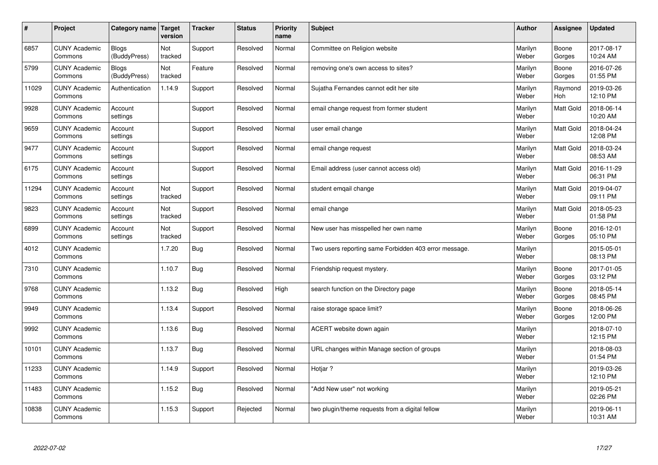| $\sharp$ | Project                         | Category name   Target       | version        | <b>Tracker</b> | <b>Status</b> | <b>Priority</b><br>name | <b>Subject</b>                                        | <b>Author</b>    | Assignee              | <b>Updated</b>         |
|----------|---------------------------------|------------------------------|----------------|----------------|---------------|-------------------------|-------------------------------------------------------|------------------|-----------------------|------------------------|
| 6857     | <b>CUNY Academic</b><br>Commons | <b>Blogs</b><br>(BuddyPress) | Not<br>tracked | Support        | Resolved      | Normal                  | Committee on Religion website                         | Marilyn<br>Weber | Boone<br>Gorges       | 2017-08-17<br>10:24 AM |
| 5799     | <b>CUNY Academic</b><br>Commons | Blogs<br>(BuddyPress)        | Not<br>tracked | Feature        | Resolved      | Normal                  | removing one's own access to sites?                   | Marilyn<br>Weber | Boone<br>Gorges       | 2016-07-26<br>01:55 PM |
| 11029    | <b>CUNY Academic</b><br>Commons | Authentication               | 1.14.9         | Support        | Resolved      | Normal                  | Sujatha Fernandes cannot edit her site                | Marilyn<br>Weber | Raymond<br><b>Hoh</b> | 2019-03-26<br>12:10 PM |
| 9928     | <b>CUNY Academic</b><br>Commons | Account<br>settings          |                | Support        | Resolved      | Normal                  | email change request from former student              | Marilyn<br>Weber | Matt Gold             | 2018-06-14<br>10:20 AM |
| 9659     | <b>CUNY Academic</b><br>Commons | Account<br>settings          |                | Support        | Resolved      | Normal                  | user email change                                     | Marilyn<br>Weber | <b>Matt Gold</b>      | 2018-04-24<br>12:08 PM |
| 9477     | <b>CUNY Academic</b><br>Commons | Account<br>settings          |                | Support        | Resolved      | Normal                  | email change request                                  | Marilyn<br>Weber | Matt Gold             | 2018-03-24<br>08:53 AM |
| 6175     | <b>CUNY Academic</b><br>Commons | Account<br>settings          |                | Support        | Resolved      | Normal                  | Email address (user cannot access old)                | Marilyn<br>Weber | Matt Gold             | 2016-11-29<br>06:31 PM |
| 11294    | <b>CUNY Academic</b><br>Commons | Account<br>settings          | Not<br>tracked | Support        | Resolved      | Normal                  | student emgail change                                 | Marilyn<br>Weber | Matt Gold             | 2019-04-07<br>09:11 PM |
| 9823     | <b>CUNY Academic</b><br>Commons | Account<br>settings          | Not<br>tracked | Support        | Resolved      | Normal                  | email change                                          | Marilyn<br>Weber | <b>Matt Gold</b>      | 2018-05-23<br>01:58 PM |
| 6899     | <b>CUNY Academic</b><br>Commons | Account<br>settings          | Not<br>tracked | Support        | Resolved      | Normal                  | New user has misspelled her own name                  | Marilyn<br>Weber | Boone<br>Gorges       | 2016-12-01<br>05:10 PM |
| 4012     | <b>CUNY Academic</b><br>Commons |                              | 1.7.20         | <b>Bug</b>     | Resolved      | Normal                  | Two users reporting same Forbidden 403 error message. | Marilyn<br>Weber |                       | 2015-05-01<br>08:13 PM |
| 7310     | <b>CUNY Academic</b><br>Commons |                              | 1.10.7         | Bug            | Resolved      | Normal                  | Friendship request mystery.                           | Marilyn<br>Weber | Boone<br>Gorges       | 2017-01-05<br>03:12 PM |
| 9768     | <b>CUNY Academic</b><br>Commons |                              | 1.13.2         | Bug            | Resolved      | High                    | search function on the Directory page                 | Marilyn<br>Weber | Boone<br>Gorges       | 2018-05-14<br>08:45 PM |
| 9949     | <b>CUNY Academic</b><br>Commons |                              | 1.13.4         | Support        | Resolved      | Normal                  | raise storage space limit?                            | Marilyn<br>Weber | Boone<br>Gorges       | 2018-06-26<br>12:00 PM |
| 9992     | <b>CUNY Academic</b><br>Commons |                              | 1.13.6         | Bug            | Resolved      | Normal                  | ACERT website down again                              | Marilyn<br>Weber |                       | 2018-07-10<br>12:15 PM |
| 10101    | <b>CUNY Academic</b><br>Commons |                              | 1.13.7         | Bug            | Resolved      | Normal                  | URL changes within Manage section of groups           | Marilyn<br>Weber |                       | 2018-08-03<br>01:54 PM |
| 11233    | <b>CUNY Academic</b><br>Commons |                              | 1.14.9         | Support        | Resolved      | Normal                  | Hotjar ?                                              | Marilyn<br>Weber |                       | 2019-03-26<br>12:10 PM |
| 11483    | <b>CUNY Academic</b><br>Commons |                              | 1.15.2         | Bug            | Resolved      | Normal                  | 'Add New user" not working                            | Marilyn<br>Weber |                       | 2019-05-21<br>02:26 PM |
| 10838    | <b>CUNY Academic</b><br>Commons |                              | 1.15.3         | Support        | Rejected      | Normal                  | two plugin/theme requests from a digital fellow       | Marilyn<br>Weber |                       | 2019-06-11<br>10:31 AM |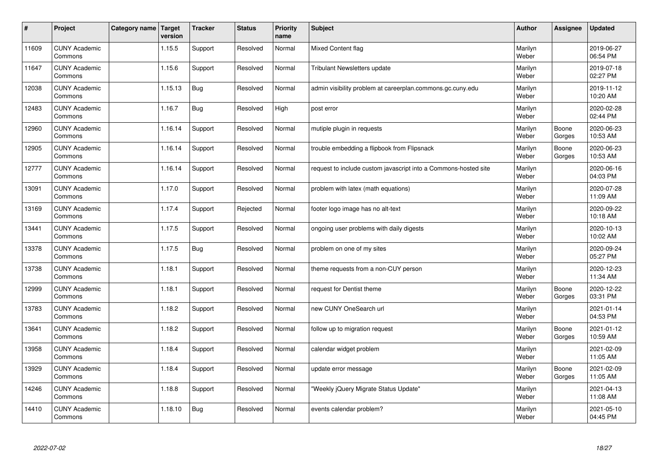| $\vert$ # | Project                         | Category name   Target | version | <b>Tracker</b> | <b>Status</b> | <b>Priority</b><br>name | <b>Subject</b>                                                  | <b>Author</b>    | <b>Assignee</b> | Updated                |
|-----------|---------------------------------|------------------------|---------|----------------|---------------|-------------------------|-----------------------------------------------------------------|------------------|-----------------|------------------------|
| 11609     | <b>CUNY Academic</b><br>Commons |                        | 1.15.5  | Support        | Resolved      | Normal                  | Mixed Content flag                                              | Marilyn<br>Weber |                 | 2019-06-27<br>06:54 PM |
| 11647     | <b>CUNY Academic</b><br>Commons |                        | 1.15.6  | Support        | Resolved      | Normal                  | Tribulant Newsletters update                                    | Marilyn<br>Weber |                 | 2019-07-18<br>02:27 PM |
| 12038     | <b>CUNY Academic</b><br>Commons |                        | 1.15.13 | Bug            | Resolved      | Normal                  | admin visibility problem at careerplan.commons.gc.cuny.edu      | Marilyn<br>Weber |                 | 2019-11-12<br>10:20 AM |
| 12483     | <b>CUNY Academic</b><br>Commons |                        | 1.16.7  | Bug            | Resolved      | High                    | post error                                                      | Marilyn<br>Weber |                 | 2020-02-28<br>02:44 PM |
| 12960     | <b>CUNY Academic</b><br>Commons |                        | 1.16.14 | Support        | Resolved      | Normal                  | mutiple plugin in requests                                      | Marilyn<br>Weber | Boone<br>Gorges | 2020-06-23<br>10:53 AM |
| 12905     | <b>CUNY Academic</b><br>Commons |                        | 1.16.14 | Support        | Resolved      | Normal                  | trouble embedding a flipbook from Flipsnack                     | Marilyn<br>Weber | Boone<br>Gorges | 2020-06-23<br>10:53 AM |
| 12777     | <b>CUNY Academic</b><br>Commons |                        | 1.16.14 | Support        | Resolved      | Normal                  | request to include custom javascript into a Commons-hosted site | Marilyn<br>Weber |                 | 2020-06-16<br>04:03 PM |
| 13091     | <b>CUNY Academic</b><br>Commons |                        | 1.17.0  | Support        | Resolved      | Normal                  | problem with latex (math equations)                             | Marilyn<br>Weber |                 | 2020-07-28<br>11:09 AM |
| 13169     | <b>CUNY Academic</b><br>Commons |                        | 1.17.4  | Support        | Rejected      | Normal                  | footer logo image has no alt-text                               | Marilyn<br>Weber |                 | 2020-09-22<br>10:18 AM |
| 13441     | <b>CUNY Academic</b><br>Commons |                        | 1.17.5  | Support        | Resolved      | Normal                  | ongoing user problems with daily digests                        | Marilyn<br>Weber |                 | 2020-10-13<br>10:02 AM |
| 13378     | <b>CUNY Academic</b><br>Commons |                        | 1.17.5  | <b>Bug</b>     | Resolved      | Normal                  | problem on one of my sites                                      | Marilyn<br>Weber |                 | 2020-09-24<br>05:27 PM |
| 13738     | <b>CUNY Academic</b><br>Commons |                        | 1.18.1  | Support        | Resolved      | Normal                  | theme requests from a non-CUY person                            | Marilyn<br>Weber |                 | 2020-12-23<br>11:34 AM |
| 12999     | <b>CUNY Academic</b><br>Commons |                        | 1.18.1  | Support        | Resolved      | Normal                  | request for Dentist theme                                       | Marilyn<br>Weber | Boone<br>Gorges | 2020-12-22<br>03:31 PM |
| 13783     | <b>CUNY Academic</b><br>Commons |                        | 1.18.2  | Support        | Resolved      | Normal                  | new CUNY OneSearch url                                          | Marilyn<br>Weber |                 | 2021-01-14<br>04:53 PM |
| 13641     | <b>CUNY Academic</b><br>Commons |                        | 1.18.2  | Support        | Resolved      | Normal                  | follow up to migration request                                  | Marilyn<br>Weber | Boone<br>Gorges | 2021-01-12<br>10:59 AM |
| 13958     | <b>CUNY Academic</b><br>Commons |                        | 1.18.4  | Support        | Resolved      | Normal                  | calendar widget problem                                         | Marilyn<br>Weber |                 | 2021-02-09<br>11:05 AM |
| 13929     | <b>CUNY Academic</b><br>Commons |                        | 1.18.4  | Support        | Resolved      | Normal                  | update error message                                            | Marilyn<br>Weber | Boone<br>Gorges | 2021-02-09<br>11:05 AM |
| 14246     | <b>CUNY Academic</b><br>Commons |                        | 1.18.8  | Support        | Resolved      | Normal                  | 'Weekly jQuery Migrate Status Update"                           | Marilyn<br>Weber |                 | 2021-04-13<br>11:08 AM |
| 14410     | <b>CUNY Academic</b><br>Commons |                        | 1.18.10 | Bug            | Resolved      | Normal                  | events calendar problem?                                        | Marilyn<br>Weber |                 | 2021-05-10<br>04:45 PM |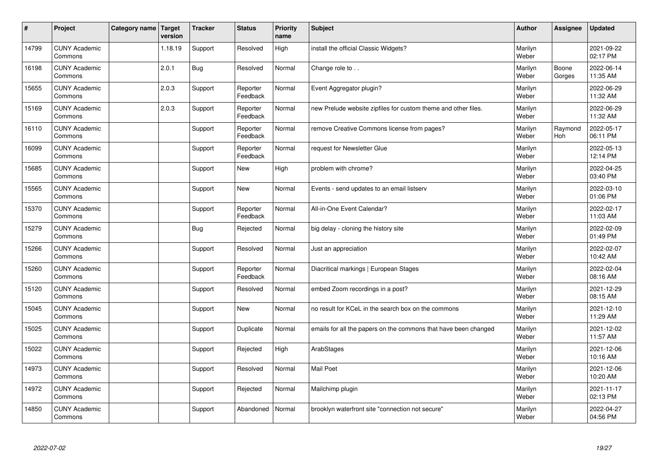| $\vert$ # | Project                         | Category name   Target | version | <b>Tracker</b> | <b>Status</b>        | <b>Priority</b><br>name | <b>Subject</b>                                                  | <b>Author</b>    | <b>Assignee</b>       | <b>Updated</b>         |
|-----------|---------------------------------|------------------------|---------|----------------|----------------------|-------------------------|-----------------------------------------------------------------|------------------|-----------------------|------------------------|
| 14799     | <b>CUNY Academic</b><br>Commons |                        | 1.18.19 | Support        | Resolved             | High                    | install the official Classic Widgets?                           | Marilyn<br>Weber |                       | 2021-09-22<br>02:17 PM |
| 16198     | <b>CUNY Academic</b><br>Commons |                        | 2.0.1   | <b>Bug</b>     | Resolved             | Normal                  | Change role to                                                  | Marilyn<br>Weber | Boone<br>Gorges       | 2022-06-14<br>11:35 AM |
| 15655     | <b>CUNY Academic</b><br>Commons |                        | 2.0.3   | Support        | Reporter<br>Feedback | Normal                  | Event Aggregator plugin?                                        | Marilyn<br>Weber |                       | 2022-06-29<br>11:32 AM |
| 15169     | <b>CUNY Academic</b><br>Commons |                        | 2.0.3   | Support        | Reporter<br>Feedback | Normal                  | new Prelude website zipfiles for custom theme and other files.  | Marilyn<br>Weber |                       | 2022-06-29<br>11:32 AM |
| 16110     | <b>CUNY Academic</b><br>Commons |                        |         | Support        | Reporter<br>Feedback | Normal                  | remove Creative Commons license from pages?                     | Marilyn<br>Weber | Raymond<br><b>Hoh</b> | 2022-05-17<br>06:11 PM |
| 16099     | <b>CUNY Academic</b><br>Commons |                        |         | Support        | Reporter<br>Feedback | Normal                  | request for Newsletter Glue                                     | Marilyn<br>Weber |                       | 2022-05-13<br>12:14 PM |
| 15685     | <b>CUNY Academic</b><br>Commons |                        |         | Support        | <b>New</b>           | High                    | problem with chrome?                                            | Marilyn<br>Weber |                       | 2022-04-25<br>03:40 PM |
| 15565     | <b>CUNY Academic</b><br>Commons |                        |         | Support        | <b>New</b>           | Normal                  | Events - send updates to an email listserv                      | Marilyn<br>Weber |                       | 2022-03-10<br>01:06 PM |
| 15370     | <b>CUNY Academic</b><br>Commons |                        |         | Support        | Reporter<br>Feedback | Normal                  | All-in-One Event Calendar?                                      | Marilyn<br>Weber |                       | 2022-02-17<br>11:03 AM |
| 15279     | <b>CUNY Academic</b><br>Commons |                        |         | Bug            | Rejected             | Normal                  | big delay - cloning the history site                            | Marilyn<br>Weber |                       | 2022-02-09<br>01:49 PM |
| 15266     | <b>CUNY Academic</b><br>Commons |                        |         | Support        | Resolved             | Normal                  | Just an appreciation                                            | Marilyn<br>Weber |                       | 2022-02-07<br>10:42 AM |
| 15260     | <b>CUNY Academic</b><br>Commons |                        |         | Support        | Reporter<br>Feedback | Normal                  | Diacritical markings   European Stages                          | Marilyn<br>Weber |                       | 2022-02-04<br>08:16 AM |
| 15120     | <b>CUNY Academic</b><br>Commons |                        |         | Support        | Resolved             | Normal                  | embed Zoom recordings in a post?                                | Marilyn<br>Weber |                       | 2021-12-29<br>08:15 AM |
| 15045     | <b>CUNY Academic</b><br>Commons |                        |         | Support        | New                  | Normal                  | no result for KCeL in the search box on the commons             | Marilyn<br>Weber |                       | 2021-12-10<br>11:29 AM |
| 15025     | <b>CUNY Academic</b><br>Commons |                        |         | Support        | Duplicate            | Normal                  | emails for all the papers on the commons that have been changed | Marilyn<br>Weber |                       | 2021-12-02<br>11:57 AM |
| 15022     | <b>CUNY Academic</b><br>Commons |                        |         | Support        | Rejected             | High                    | ArabStages                                                      | Marilyn<br>Weber |                       | 2021-12-06<br>10:16 AM |
| 14973     | <b>CUNY Academic</b><br>Commons |                        |         | Support        | Resolved             | Normal                  | <b>Mail Poet</b>                                                | Marilyn<br>Weber |                       | 2021-12-06<br>10:20 AM |
| 14972     | <b>CUNY Academic</b><br>Commons |                        |         | Support        | Rejected             | Normal                  | Mailchimp plugin                                                | Marilyn<br>Weber |                       | 2021-11-17<br>02:13 PM |
| 14850     | <b>CUNY Academic</b><br>Commons |                        |         | Support        | Abandoned            | Normal                  | brooklyn waterfront site "connection not secure"                | Marilyn<br>Weber |                       | 2022-04-27<br>04:56 PM |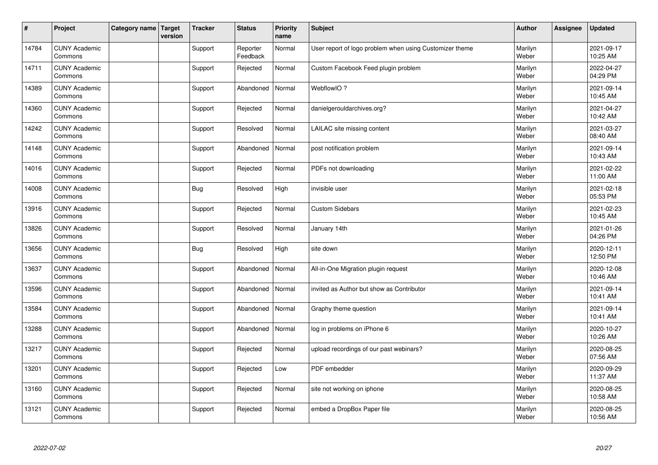| $\vert$ # | Project                         | Category name   Target | version | <b>Tracker</b> | <b>Status</b>        | <b>Priority</b><br>name | Subject                                                 | <b>Author</b>    | <b>Assignee</b> | <b>Updated</b>         |
|-----------|---------------------------------|------------------------|---------|----------------|----------------------|-------------------------|---------------------------------------------------------|------------------|-----------------|------------------------|
| 14784     | <b>CUNY Academic</b><br>Commons |                        |         | Support        | Reporter<br>Feedback | Normal                  | User report of logo problem when using Customizer theme | Marilyn<br>Weber |                 | 2021-09-17<br>10:25 AM |
| 14711     | <b>CUNY Academic</b><br>Commons |                        |         | Support        | Rejected             | Normal                  | Custom Facebook Feed plugin problem                     | Marilyn<br>Weber |                 | 2022-04-27<br>04:29 PM |
| 14389     | <b>CUNY Academic</b><br>Commons |                        |         | Support        | Abandoned            | Normal                  | WebflowIO?                                              | Marilyn<br>Weber |                 | 2021-09-14<br>10:45 AM |
| 14360     | <b>CUNY Academic</b><br>Commons |                        |         | Support        | Rejected             | Normal                  | danielgerouldarchives.org?                              | Marilyn<br>Weber |                 | 2021-04-27<br>10:42 AM |
| 14242     | <b>CUNY Academic</b><br>Commons |                        |         | Support        | Resolved             | Normal                  | LAILAC site missing content                             | Marilyn<br>Weber |                 | 2021-03-27<br>08:40 AM |
| 14148     | <b>CUNY Academic</b><br>Commons |                        |         | Support        | Abandoned            | Normal                  | post notification problem                               | Marilyn<br>Weber |                 | 2021-09-14<br>10:43 AM |
| 14016     | <b>CUNY Academic</b><br>Commons |                        |         | Support        | Rejected             | Normal                  | PDFs not downloading                                    | Marilyn<br>Weber |                 | 2021-02-22<br>11:00 AM |
| 14008     | <b>CUNY Academic</b><br>Commons |                        |         | Bug            | Resolved             | High                    | invisible user                                          | Marilyn<br>Weber |                 | 2021-02-18<br>05:53 PM |
| 13916     | <b>CUNY Academic</b><br>Commons |                        |         | Support        | Rejected             | Normal                  | <b>Custom Sidebars</b>                                  | Marilyn<br>Weber |                 | 2021-02-23<br>10:45 AM |
| 13826     | <b>CUNY Academic</b><br>Commons |                        |         | Support        | Resolved             | Normal                  | January 14th                                            | Marilyn<br>Weber |                 | 2021-01-26<br>04:26 PM |
| 13656     | <b>CUNY Academic</b><br>Commons |                        |         | Bug            | Resolved             | High                    | site down                                               | Marilyn<br>Weber |                 | 2020-12-11<br>12:50 PM |
| 13637     | <b>CUNY Academic</b><br>Commons |                        |         | Support        | Abandoned            | Normal                  | All-in-One Migration plugin request                     | Marilyn<br>Weber |                 | 2020-12-08<br>10:46 AM |
| 13596     | <b>CUNY Academic</b><br>Commons |                        |         | Support        | Abandoned            | Normal                  | invited as Author but show as Contributor               | Marilyn<br>Weber |                 | 2021-09-14<br>10:41 AM |
| 13584     | <b>CUNY Academic</b><br>Commons |                        |         | Support        | Abandoned            | Normal                  | Graphy theme question                                   | Marilyn<br>Weber |                 | 2021-09-14<br>10:41 AM |
| 13288     | <b>CUNY Academic</b><br>Commons |                        |         | Support        | Abandoned            | Normal                  | log in problems on iPhone 6                             | Marilyn<br>Weber |                 | 2020-10-27<br>10:26 AM |
| 13217     | <b>CUNY Academic</b><br>Commons |                        |         | Support        | Rejected             | Normal                  | upload recordings of our past webinars?                 | Marilyn<br>Weber |                 | 2020-08-25<br>07:56 AM |
| 13201     | <b>CUNY Academic</b><br>Commons |                        |         | Support        | Rejected             | Low                     | PDF embedder                                            | Marilyn<br>Weber |                 | 2020-09-29<br>11:37 AM |
| 13160     | <b>CUNY Academic</b><br>Commons |                        |         | Support        | Rejected             | Normal                  | site not working on iphone                              | Marilyn<br>Weber |                 | 2020-08-25<br>10:58 AM |
| 13121     | <b>CUNY Academic</b><br>Commons |                        |         | Support        | Rejected             | Normal                  | embed a DropBox Paper file                              | Marilyn<br>Weber |                 | 2020-08-25<br>10:56 AM |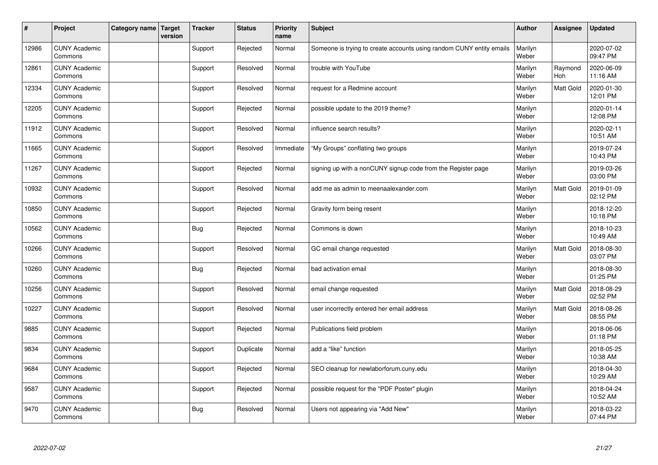| #     | Project                         | Category name   Target | version | <b>Tracker</b> | <b>Status</b> | <b>Priority</b><br>name | <b>Subject</b>                                                       | <b>Author</b>    | Assignee              | <b>Updated</b>         |
|-------|---------------------------------|------------------------|---------|----------------|---------------|-------------------------|----------------------------------------------------------------------|------------------|-----------------------|------------------------|
| 12986 | <b>CUNY Academic</b><br>Commons |                        |         | Support        | Rejected      | Normal                  | Someone is trying to create accounts using random CUNY entity emails | Marilyn<br>Weber |                       | 2020-07-02<br>09:47 PM |
| 12861 | <b>CUNY Academic</b><br>Commons |                        |         | Support        | Resolved      | Normal                  | trouble with YouTube                                                 | Marilyn<br>Weber | Raymond<br><b>Hoh</b> | 2020-06-09<br>11:16 AM |
| 12334 | <b>CUNY Academic</b><br>Commons |                        |         | Support        | Resolved      | Normal                  | request for a Redmine account                                        | Marilyn<br>Weber | <b>Matt Gold</b>      | 2020-01-30<br>12:01 PM |
| 12205 | <b>CUNY Academic</b><br>Commons |                        |         | Support        | Rejected      | Normal                  | possible update to the 2019 theme?                                   | Marilyn<br>Weber |                       | 2020-01-14<br>12:08 PM |
| 11912 | <b>CUNY Academic</b><br>Commons |                        |         | Support        | Resolved      | Normal                  | influence search results?                                            | Marilyn<br>Weber |                       | 2020-02-11<br>10:51 AM |
| 11665 | <b>CUNY Academic</b><br>Commons |                        |         | Support        | Resolved      | Immediate               | "My Groups" conflating two groups                                    | Marilyn<br>Weber |                       | 2019-07-24<br>10:43 PM |
| 11267 | <b>CUNY Academic</b><br>Commons |                        |         | Support        | Rejected      | Normal                  | signing up with a nonCUNY signup code from the Register page         | Marilyn<br>Weber |                       | 2019-03-26<br>03:00 PM |
| 10932 | <b>CUNY Academic</b><br>Commons |                        |         | Support        | Resolved      | Normal                  | add me as admin to meenaalexander.com                                | Marilyn<br>Weber | Matt Gold             | 2019-01-09<br>02:12 PM |
| 10850 | <b>CUNY Academic</b><br>Commons |                        |         | Support        | Rejected      | Normal                  | Gravity form being resent                                            | Marilyn<br>Weber |                       | 2018-12-20<br>10:18 PM |
| 10562 | <b>CUNY Academic</b><br>Commons |                        |         | <b>Bug</b>     | Rejected      | Normal                  | Commons is down                                                      | Marilyn<br>Weber |                       | 2018-10-23<br>10:49 AM |
| 10266 | <b>CUNY Academic</b><br>Commons |                        |         | Support        | Resolved      | Normal                  | GC email change requested                                            | Marilyn<br>Weber | Matt Gold             | 2018-08-30<br>03:07 PM |
| 10260 | <b>CUNY Academic</b><br>Commons |                        |         | Bug            | Rejected      | Normal                  | bad activation email                                                 | Marilyn<br>Weber |                       | 2018-08-30<br>01:25 PM |
| 10256 | <b>CUNY Academic</b><br>Commons |                        |         | Support        | Resolved      | Normal                  | email change requested                                               | Marilyn<br>Weber | Matt Gold             | 2018-08-29<br>02:52 PM |
| 10227 | <b>CUNY Academic</b><br>Commons |                        |         | Support        | Resolved      | Normal                  | user incorrectly entered her email address                           | Marilyn<br>Weber | <b>Matt Gold</b>      | 2018-08-26<br>08:55 PM |
| 9885  | <b>CUNY Academic</b><br>Commons |                        |         | Support        | Rejected      | Normal                  | Publications field problem                                           | Marilyn<br>Weber |                       | 2018-06-06<br>01:18 PM |
| 9834  | <b>CUNY Academic</b><br>Commons |                        |         | Support        | Duplicate     | Normal                  | add a "like" function                                                | Marilyn<br>Weber |                       | 2018-05-25<br>10:38 AM |
| 9684  | <b>CUNY Academic</b><br>Commons |                        |         | Support        | Rejected      | Normal                  | SEO cleanup for newlaborforum.cuny.edu                               | Marilyn<br>Weber |                       | 2018-04-30<br>10:29 AM |
| 9587  | <b>CUNY Academic</b><br>Commons |                        |         | Support        | Rejected      | Normal                  | possible request for the "PDF Poster" plugin                         | Marilyn<br>Weber |                       | 2018-04-24<br>10:52 AM |
| 9470  | <b>CUNY Academic</b><br>Commons |                        |         | <b>Bug</b>     | Resolved      | Normal                  | Users not appearing via "Add New"                                    | Marilyn<br>Weber |                       | 2018-03-22<br>07:44 PM |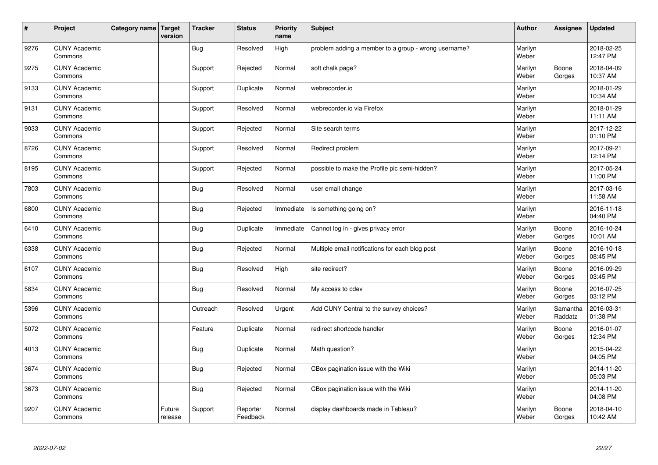| $\vert$ # | Project                         | Category name   Target | version           | <b>Tracker</b> | <b>Status</b>        | <b>Priority</b><br>name | <b>Subject</b>                                       | <b>Author</b>    | <b>Assignee</b>     | <b>Updated</b>         |
|-----------|---------------------------------|------------------------|-------------------|----------------|----------------------|-------------------------|------------------------------------------------------|------------------|---------------------|------------------------|
| 9276      | <b>CUNY Academic</b><br>Commons |                        |                   | <b>Bug</b>     | Resolved             | High                    | problem adding a member to a group - wrong username? | Marilyn<br>Weber |                     | 2018-02-25<br>12:47 PM |
| 9275      | <b>CUNY Academic</b><br>Commons |                        |                   | Support        | Rejected             | Normal                  | soft chalk page?                                     | Marilyn<br>Weber | Boone<br>Gorges     | 2018-04-09<br>10:37 AM |
| 9133      | <b>CUNY Academic</b><br>Commons |                        |                   | Support        | Duplicate            | Normal                  | webrecorder.io                                       | Marilyn<br>Weber |                     | 2018-01-29<br>10:34 AM |
| 9131      | <b>CUNY Academic</b><br>Commons |                        |                   | Support        | Resolved             | Normal                  | webrecorder.io via Firefox                           | Marilyn<br>Weber |                     | 2018-01-29<br>11:11 AM |
| 9033      | <b>CUNY Academic</b><br>Commons |                        |                   | Support        | Rejected             | Normal                  | Site search terms                                    | Marilyn<br>Weber |                     | 2017-12-22<br>01:10 PM |
| 8726      | <b>CUNY Academic</b><br>Commons |                        |                   | Support        | Resolved             | Normal                  | Redirect problem                                     | Marilyn<br>Weber |                     | 2017-09-21<br>12:14 PM |
| 8195      | <b>CUNY Academic</b><br>Commons |                        |                   | Support        | Rejected             | Normal                  | possible to make the Profile pic semi-hidden?        | Marilyn<br>Weber |                     | 2017-05-24<br>11:00 PM |
| 7803      | <b>CUNY Academic</b><br>Commons |                        |                   | <b>Bug</b>     | Resolved             | Normal                  | user email change                                    | Marilyn<br>Weber |                     | 2017-03-16<br>11:58 AM |
| 6800      | <b>CUNY Academic</b><br>Commons |                        |                   | Bug            | Rejected             | Immediate               | Is something going on?                               | Marilyn<br>Weber |                     | 2016-11-18<br>04:40 PM |
| 6410      | <b>CUNY Academic</b><br>Commons |                        |                   | Bug            | Duplicate            | Immediate               | Cannot log in - gives privacy error                  | Marilyn<br>Weber | Boone<br>Gorges     | 2016-10-24<br>10:01 AM |
| 6338      | <b>CUNY Academic</b><br>Commons |                        |                   | <b>Bug</b>     | Rejected             | Normal                  | Multiple email notifications for each blog post      | Marilyn<br>Weber | Boone<br>Gorges     | 2016-10-18<br>08:45 PM |
| 6107      | <b>CUNY Academic</b><br>Commons |                        |                   | Bug            | Resolved             | High                    | site redirect?                                       | Marilyn<br>Weber | Boone<br>Gorges     | 2016-09-29<br>03:45 PM |
| 5834      | <b>CUNY Academic</b><br>Commons |                        |                   | Bug            | Resolved             | Normal                  | My access to cdev                                    | Marilyn<br>Weber | Boone<br>Gorges     | 2016-07-25<br>03:12 PM |
| 5396      | <b>CUNY Academic</b><br>Commons |                        |                   | Outreach       | Resolved             | Urgent                  | Add CUNY Central to the survey choices?              | Marilyn<br>Weber | Samantha<br>Raddatz | 2016-03-31<br>01:38 PM |
| 5072      | <b>CUNY Academic</b><br>Commons |                        |                   | Feature        | Duplicate            | Normal                  | redirect shortcode handler                           | Marilyn<br>Weber | Boone<br>Gorges     | 2016-01-07<br>12:34 PM |
| 4013      | <b>CUNY Academic</b><br>Commons |                        |                   | Bug            | Duplicate            | Normal                  | Math question?                                       | Marilyn<br>Weber |                     | 2015-04-22<br>04:05 PM |
| 3674      | <b>CUNY Academic</b><br>Commons |                        |                   | <b>Bug</b>     | Rejected             | Normal                  | CBox pagination issue with the Wiki                  | Marilyn<br>Weber |                     | 2014-11-20<br>05:03 PM |
| 3673      | <b>CUNY Academic</b><br>Commons |                        |                   | <b>Bug</b>     | Rejected             | Normal                  | CBox pagination issue with the Wiki                  | Marilyn<br>Weber |                     | 2014-11-20<br>04:08 PM |
| 9207      | <b>CUNY Academic</b><br>Commons |                        | Future<br>release | Support        | Reporter<br>Feedback | Normal                  | display dashboards made in Tableau?                  | Marilyn<br>Weber | Boone<br>Gorges     | 2018-04-10<br>10:42 AM |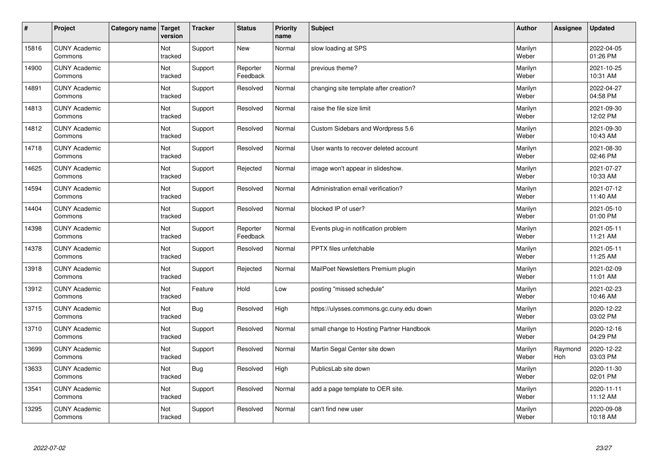| $\sharp$ | Project                         | Category name   Target | version        | <b>Tracker</b> | <b>Status</b>        | <b>Priority</b><br>name | <b>Subject</b>                           | <b>Author</b>    | Assignee       | <b>Updated</b>         |
|----------|---------------------------------|------------------------|----------------|----------------|----------------------|-------------------------|------------------------------------------|------------------|----------------|------------------------|
| 15816    | <b>CUNY Academic</b><br>Commons |                        | Not<br>tracked | Support        | New                  | Normal                  | slow loading at SPS                      | Marilyn<br>Weber |                | 2022-04-05<br>01:26 PM |
| 14900    | <b>CUNY Academic</b><br>Commons |                        | Not<br>tracked | Support        | Reporter<br>Feedback | Normal                  | previous theme?                          | Marilyn<br>Weber |                | 2021-10-25<br>10:31 AM |
| 14891    | <b>CUNY Academic</b><br>Commons |                        | Not<br>tracked | Support        | Resolved             | Normal                  | changing site template after creation?   | Marilyn<br>Weber |                | 2022-04-27<br>04:58 PM |
| 14813    | <b>CUNY Academic</b><br>Commons |                        | Not<br>tracked | Support        | Resolved             | Normal                  | raise the file size limit                | Marilyn<br>Weber |                | 2021-09-30<br>12:02 PM |
| 14812    | <b>CUNY Academic</b><br>Commons |                        | Not<br>tracked | Support        | Resolved             | Normal                  | Custom Sidebars and Wordpress 5.6        | Marilyn<br>Weber |                | 2021-09-30<br>10:43 AM |
| 14718    | <b>CUNY Academic</b><br>Commons |                        | Not<br>tracked | Support        | Resolved             | Normal                  | User wants to recover deleted account    | Marilyn<br>Weber |                | 2021-08-30<br>02:46 PM |
| 14625    | <b>CUNY Academic</b><br>Commons |                        | Not<br>tracked | Support        | Rejected             | Normal                  | image won't appear in slideshow.         | Marilyn<br>Weber |                | 2021-07-27<br>10:33 AM |
| 14594    | <b>CUNY Academic</b><br>Commons |                        | Not<br>tracked | Support        | Resolved             | Normal                  | Administration email verification?       | Marilyn<br>Weber |                | 2021-07-12<br>11:40 AM |
| 14404    | <b>CUNY Academic</b><br>Commons |                        | Not<br>tracked | Support        | Resolved             | Normal                  | blocked IP of user?                      | Marilyn<br>Weber |                | 2021-05-10<br>01:00 PM |
| 14398    | <b>CUNY Academic</b><br>Commons |                        | Not<br>tracked | Support        | Reporter<br>Feedback | Normal                  | Events plug-in notification problem      | Marilyn<br>Weber |                | 2021-05-11<br>11:21 AM |
| 14378    | <b>CUNY Academic</b><br>Commons |                        | Not<br>tracked | Support        | Resolved             | Normal                  | PPTX files unfetchable                   | Marilyn<br>Weber |                | 2021-05-11<br>11:25 AM |
| 13918    | <b>CUNY Academic</b><br>Commons |                        | Not<br>tracked | Support        | Rejected             | Normal                  | MailPoet Newsletters Premium plugin      | Marilyn<br>Weber |                | 2021-02-09<br>11:01 AM |
| 13912    | <b>CUNY Academic</b><br>Commons |                        | Not<br>tracked | Feature        | Hold                 | Low                     | posting "missed schedule"                | Marilyn<br>Weber |                | 2021-02-23<br>10:46 AM |
| 13715    | <b>CUNY Academic</b><br>Commons |                        | Not<br>tracked | Bug            | Resolved             | High                    | https://ulysses.commons.gc.cuny.edu down | Marilyn<br>Weber |                | 2020-12-22<br>03:02 PM |
| 13710    | <b>CUNY Academic</b><br>Commons |                        | Not<br>tracked | Support        | Resolved             | Normal                  | small change to Hosting Partner Handbook | Marilyn<br>Weber |                | 2020-12-16<br>04:29 PM |
| 13699    | <b>CUNY Academic</b><br>Commons |                        | Not<br>tracked | Support        | Resolved             | Normal                  | Martin Segal Center site down            | Marilyn<br>Weber | Raymond<br>Hoh | 2020-12-22<br>03:03 PM |
| 13633    | <b>CUNY Academic</b><br>Commons |                        | Not<br>tracked | Bug            | Resolved             | High                    | PublicsLab site down                     | Marilyn<br>Weber |                | 2020-11-30<br>02:01 PM |
| 13541    | <b>CUNY Academic</b><br>Commons |                        | Not<br>tracked | Support        | Resolved             | Normal                  | add a page template to OER site.         | Marilyn<br>Weber |                | 2020-11-11<br>11:12 AM |
| 13295    | <b>CUNY Academic</b><br>Commons |                        | Not<br>tracked | Support        | Resolved             | Normal                  | can't find new user                      | Marilyn<br>Weber |                | 2020-09-08<br>10:18 AM |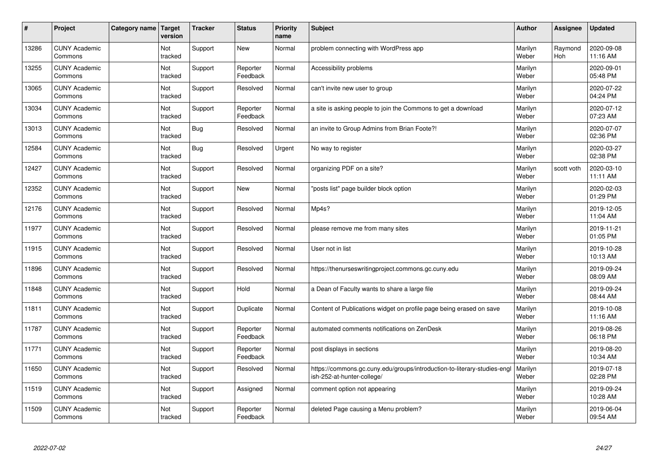| #     | Project                         | Category name | <b>Target</b><br>version | <b>Tracker</b> | <b>Status</b>        | Priority<br>name | <b>Subject</b>                                                                                         | <b>Author</b>    | Assignee              | <b>Updated</b>         |
|-------|---------------------------------|---------------|--------------------------|----------------|----------------------|------------------|--------------------------------------------------------------------------------------------------------|------------------|-----------------------|------------------------|
| 13286 | <b>CUNY Academic</b><br>Commons |               | Not<br>tracked           | Support        | <b>New</b>           | Normal           | problem connecting with WordPress app                                                                  | Marilyn<br>Weber | Raymond<br><b>Hoh</b> | 2020-09-08<br>11:16 AM |
| 13255 | <b>CUNY Academic</b><br>Commons |               | Not<br>tracked           | Support        | Reporter<br>Feedback | Normal           | Accessibility problems                                                                                 | Marilyn<br>Weber |                       | 2020-09-01<br>05:48 PM |
| 13065 | <b>CUNY Academic</b><br>Commons |               | Not<br>tracked           | Support        | Resolved             | Normal           | can't invite new user to group                                                                         | Marilyn<br>Weber |                       | 2020-07-22<br>04:24 PM |
| 13034 | <b>CUNY Academic</b><br>Commons |               | Not<br>tracked           | Support        | Reporter<br>Feedback | Normal           | a site is asking people to join the Commons to get a download                                          | Marilyn<br>Weber |                       | 2020-07-12<br>07:23 AM |
| 13013 | <b>CUNY Academic</b><br>Commons |               | Not<br>tracked           | Bug            | Resolved             | Normal           | an invite to Group Admins from Brian Foote?!                                                           | Marilyn<br>Weber |                       | 2020-07-07<br>02:36 PM |
| 12584 | <b>CUNY Academic</b><br>Commons |               | Not<br>tracked           | Bug            | Resolved             | Urgent           | No way to register                                                                                     | Marilyn<br>Weber |                       | 2020-03-27<br>02:38 PM |
| 12427 | <b>CUNY Academic</b><br>Commons |               | Not<br>tracked           | Support        | Resolved             | Normal           | organizing PDF on a site?                                                                              | Marilyn<br>Weber | scott voth            | 2020-03-10<br>11:11 AM |
| 12352 | <b>CUNY Academic</b><br>Commons |               | Not<br>tracked           | Support        | <b>New</b>           | Normal           | "posts list" page builder block option                                                                 | Marilyn<br>Weber |                       | 2020-02-03<br>01:29 PM |
| 12176 | <b>CUNY Academic</b><br>Commons |               | Not<br>tracked           | Support        | Resolved             | Normal           | Mp4s?                                                                                                  | Marilyn<br>Weber |                       | 2019-12-05<br>11:04 AM |
| 11977 | <b>CUNY Academic</b><br>Commons |               | Not<br>tracked           | Support        | Resolved             | Normal           | please remove me from many sites                                                                       | Marilyn<br>Weber |                       | 2019-11-21<br>01:05 PM |
| 11915 | <b>CUNY Academic</b><br>Commons |               | Not<br>tracked           | Support        | Resolved             | Normal           | User not in list                                                                                       | Marilyn<br>Weber |                       | 2019-10-28<br>10:13 AM |
| 11896 | <b>CUNY Academic</b><br>Commons |               | Not<br>tracked           | Support        | Resolved             | Normal           | https://thenurseswritingproject.commons.gc.cuny.edu                                                    | Marilyn<br>Weber |                       | 2019-09-24<br>08:09 AM |
| 11848 | <b>CUNY Academic</b><br>Commons |               | Not<br>tracked           | Support        | Hold                 | Normal           | a Dean of Faculty wants to share a large file                                                          | Marilyn<br>Weber |                       | 2019-09-24<br>08:44 AM |
| 11811 | <b>CUNY Academic</b><br>Commons |               | Not<br>tracked           | Support        | Duplicate            | Normal           | Content of Publications widget on profile page being erased on save                                    | Marilyn<br>Weber |                       | 2019-10-08<br>11:16 AM |
| 11787 | <b>CUNY Academic</b><br>Commons |               | Not<br>tracked           | Support        | Reporter<br>Feedback | Normal           | automated comments notifications on ZenDesk                                                            | Marilyn<br>Weber |                       | 2019-08-26<br>06:18 PM |
| 11771 | <b>CUNY Academic</b><br>Commons |               | Not<br>tracked           | Support        | Reporter<br>Feedback | Normal           | post displays in sections                                                                              | Marilyn<br>Weber |                       | 2019-08-20<br>10:34 AM |
| 11650 | <b>CUNY Academic</b><br>Commons |               | Not<br>tracked           | Support        | Resolved             | Normal           | https://commons.gc.cuny.edu/groups/introduction-to-literary-studies-engl<br>ish-252-at-hunter-college/ | Marilyn<br>Weber |                       | 2019-07-18<br>02:28 PM |
| 11519 | <b>CUNY Academic</b><br>Commons |               | Not<br>tracked           | Support        | Assigned             | Normal           | comment option not appearing                                                                           | Marilyn<br>Weber |                       | 2019-09-24<br>10:28 AM |
| 11509 | <b>CUNY Academic</b><br>Commons |               | Not<br>tracked           | Support        | Reporter<br>Feedback | Normal           | deleted Page causing a Menu problem?                                                                   | Marilyn<br>Weber |                       | 2019-06-04<br>09:54 AM |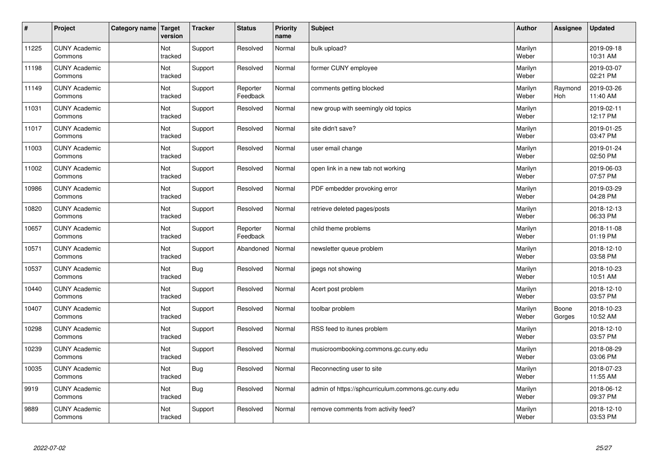| $\vert$ # | Project                         | Category name   Target | version               | <b>Tracker</b> | <b>Status</b>        | <b>Priority</b><br>name | <b>Subject</b>                                     | <b>Author</b>    | <b>Assignee</b>       | <b>Updated</b>         |
|-----------|---------------------------------|------------------------|-----------------------|----------------|----------------------|-------------------------|----------------------------------------------------|------------------|-----------------------|------------------------|
| 11225     | <b>CUNY Academic</b><br>Commons |                        | Not<br>tracked        | Support        | Resolved             | Normal                  | bulk upload?                                       | Marilyn<br>Weber |                       | 2019-09-18<br>10:31 AM |
| 11198     | <b>CUNY Academic</b><br>Commons |                        | Not<br>tracked        | Support        | Resolved             | Normal                  | former CUNY employee                               | Marilyn<br>Weber |                       | 2019-03-07<br>02:21 PM |
| 11149     | <b>CUNY Academic</b><br>Commons |                        | Not<br>tracked        | Support        | Reporter<br>Feedback | Normal                  | comments getting blocked                           | Marilyn<br>Weber | Raymond<br><b>Hoh</b> | 2019-03-26<br>11:40 AM |
| 11031     | <b>CUNY Academic</b><br>Commons |                        | Not<br>tracked        | Support        | Resolved             | Normal                  | new group with seemingly old topics                | Marilyn<br>Weber |                       | 2019-02-11<br>12:17 PM |
| 11017     | <b>CUNY Academic</b><br>Commons |                        | <b>Not</b><br>tracked | Support        | Resolved             | Normal                  | site didn't save?                                  | Marilyn<br>Weber |                       | 2019-01-25<br>03:47 PM |
| 11003     | <b>CUNY Academic</b><br>Commons |                        | Not<br>tracked        | Support        | Resolved             | Normal                  | user email change                                  | Marilyn<br>Weber |                       | 2019-01-24<br>02:50 PM |
| 11002     | <b>CUNY Academic</b><br>Commons |                        | Not<br>tracked        | Support        | Resolved             | Normal                  | open link in a new tab not working                 | Marilyn<br>Weber |                       | 2019-06-03<br>07:57 PM |
| 10986     | <b>CUNY Academic</b><br>Commons |                        | Not<br>tracked        | Support        | Resolved             | Normal                  | PDF embedder provoking error                       | Marilyn<br>Weber |                       | 2019-03-29<br>04:28 PM |
| 10820     | <b>CUNY Academic</b><br>Commons |                        | Not<br>tracked        | Support        | Resolved             | Normal                  | retrieve deleted pages/posts                       | Marilyn<br>Weber |                       | 2018-12-13<br>06:33 PM |
| 10657     | <b>CUNY Academic</b><br>Commons |                        | Not<br>tracked        | Support        | Reporter<br>Feedback | Normal                  | child theme problems                               | Marilyn<br>Weber |                       | 2018-11-08<br>01:19 PM |
| 10571     | <b>CUNY Academic</b><br>Commons |                        | Not<br>tracked        | Support        | Abandoned            | Normal                  | newsletter queue problem                           | Marilyn<br>Weber |                       | 2018-12-10<br>03:58 PM |
| 10537     | <b>CUNY Academic</b><br>Commons |                        | Not<br>tracked        | <b>Bug</b>     | Resolved             | Normal                  | jpegs not showing                                  | Marilyn<br>Weber |                       | 2018-10-23<br>10:51 AM |
| 10440     | <b>CUNY Academic</b><br>Commons |                        | Not<br>tracked        | Support        | Resolved             | Normal                  | Acert post problem                                 | Marilyn<br>Weber |                       | 2018-12-10<br>03:57 PM |
| 10407     | <b>CUNY Academic</b><br>Commons |                        | Not<br>tracked        | Support        | Resolved             | Normal                  | toolbar problem                                    | Marilyn<br>Weber | Boone<br>Gorges       | 2018-10-23<br>10:52 AM |
| 10298     | <b>CUNY Academic</b><br>Commons |                        | Not<br>tracked        | Support        | Resolved             | Normal                  | RSS feed to itunes problem                         | Marilyn<br>Weber |                       | 2018-12-10<br>03:57 PM |
| 10239     | <b>CUNY Academic</b><br>Commons |                        | Not<br>tracked        | Support        | Resolved             | Normal                  | musicroombooking.commons.gc.cuny.edu               | Marilyn<br>Weber |                       | 2018-08-29<br>03:06 PM |
| 10035     | <b>CUNY Academic</b><br>Commons |                        | Not<br>tracked        | <b>Bug</b>     | Resolved             | Normal                  | Reconnecting user to site                          | Marilyn<br>Weber |                       | 2018-07-23<br>11:55 AM |
| 9919      | <b>CUNY Academic</b><br>Commons |                        | Not<br>tracked        | <b>Bug</b>     | Resolved             | Normal                  | admin of https://sphcurriculum.commons.gc.cuny.edu | Marilyn<br>Weber |                       | 2018-06-12<br>09:37 PM |
| 9889      | <b>CUNY Academic</b><br>Commons |                        | Not<br>tracked        | Support        | Resolved             | Normal                  | remove comments from activity feed?                | Marilyn<br>Weber |                       | 2018-12-10<br>03:53 PM |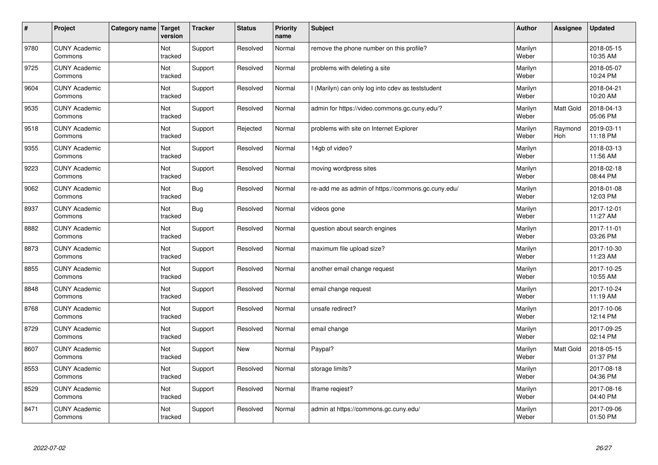| $\sharp$ | Project                         | Category name | Target<br>version | <b>Tracker</b> | <b>Status</b> | <b>Priority</b><br>name | <b>Subject</b>                                     | <b>Author</b>    | Assignee       | <b>Updated</b>         |
|----------|---------------------------------|---------------|-------------------|----------------|---------------|-------------------------|----------------------------------------------------|------------------|----------------|------------------------|
| 9780     | <b>CUNY Academic</b><br>Commons |               | Not<br>tracked    | Support        | Resolved      | Normal                  | remove the phone number on this profile?           | Marilyn<br>Weber |                | 2018-05-15<br>10:35 AM |
| 9725     | <b>CUNY Academic</b><br>Commons |               | Not<br>tracked    | Support        | Resolved      | Normal                  | problems with deleting a site                      | Marilyn<br>Weber |                | 2018-05-07<br>10:24 PM |
| 9604     | <b>CUNY Academic</b><br>Commons |               | Not<br>tracked    | Support        | Resolved      | Normal                  | I (Marilyn) can only log into cdev as teststudent  | Marilyn<br>Weber |                | 2018-04-21<br>10:20 AM |
| 9535     | <b>CUNY Academic</b><br>Commons |               | Not<br>tracked    | Support        | Resolved      | Normal                  | admin for https://video.commons.gc.cuny.edu/?      | Marilyn<br>Weber | Matt Gold      | 2018-04-13<br>05:06 PM |
| 9518     | <b>CUNY Academic</b><br>Commons |               | Not<br>tracked    | Support        | Rejected      | Normal                  | problems with site on Internet Explorer            | Marilyn<br>Weber | Raymond<br>Hoh | 2019-03-11<br>11:18 PM |
| 9355     | <b>CUNY Academic</b><br>Commons |               | Not<br>tracked    | Support        | Resolved      | Normal                  | 14gb of video?                                     | Marilyn<br>Weber |                | 2018-03-13<br>11:56 AM |
| 9223     | <b>CUNY Academic</b><br>Commons |               | Not<br>tracked    | Support        | Resolved      | Normal                  | moving wordpress sites                             | Marilyn<br>Weber |                | 2018-02-18<br>08:44 PM |
| 9062     | <b>CUNY Academic</b><br>Commons |               | Not<br>tracked    | Bug            | Resolved      | Normal                  | re-add me as admin of https://commons.gc.cuny.edu/ | Marilyn<br>Weber |                | 2018-01-08<br>12:03 PM |
| 8937     | <b>CUNY Academic</b><br>Commons |               | Not<br>tracked    | Bug            | Resolved      | Normal                  | videos gone                                        | Marilyn<br>Weber |                | 2017-12-01<br>11:27 AM |
| 8882     | <b>CUNY Academic</b><br>Commons |               | Not<br>tracked    | Support        | Resolved      | Normal                  | question about search engines                      | Marilyn<br>Weber |                | 2017-11-01<br>03:26 PM |
| 8873     | <b>CUNY Academic</b><br>Commons |               | Not<br>tracked    | Support        | Resolved      | Normal                  | maximum file upload size?                          | Marilyn<br>Weber |                | 2017-10-30<br>11:23 AM |
| 8855     | <b>CUNY Academic</b><br>Commons |               | Not<br>tracked    | Support        | Resolved      | Normal                  | another email change request                       | Marilyn<br>Weber |                | 2017-10-25<br>10:55 AM |
| 8848     | <b>CUNY Academic</b><br>Commons |               | Not<br>tracked    | Support        | Resolved      | Normal                  | email change request                               | Marilyn<br>Weber |                | 2017-10-24<br>11:19 AM |
| 8768     | <b>CUNY Academic</b><br>Commons |               | Not<br>tracked    | Support        | Resolved      | Normal                  | unsafe redirect?                                   | Marilyn<br>Weber |                | 2017-10-06<br>12:14 PM |
| 8729     | <b>CUNY Academic</b><br>Commons |               | Not<br>tracked    | Support        | Resolved      | Normal                  | email change                                       | Marilyn<br>Weber |                | 2017-09-25<br>02:14 PM |
| 8607     | <b>CUNY Academic</b><br>Commons |               | Not<br>tracked    | Support        | New           | Normal                  | Paypal?                                            | Marilyn<br>Weber | Matt Gold      | 2018-05-15<br>01:37 PM |
| 8553     | <b>CUNY Academic</b><br>Commons |               | Not<br>tracked    | Support        | Resolved      | Normal                  | storage limits?                                    | Marilyn<br>Weber |                | 2017-08-18<br>04:36 PM |
| 8529     | <b>CUNY Academic</b><br>Commons |               | Not<br>tracked    | Support        | Resolved      | Normal                  | lframe regiest?                                    | Marilyn<br>Weber |                | 2017-08-16<br>04:40 PM |
| 8471     | <b>CUNY Academic</b><br>Commons |               | Not<br>tracked    | Support        | Resolved      | Normal                  | admin at https://commons.gc.cuny.edu/              | Marilyn<br>Weber |                | 2017-09-06<br>01:50 PM |